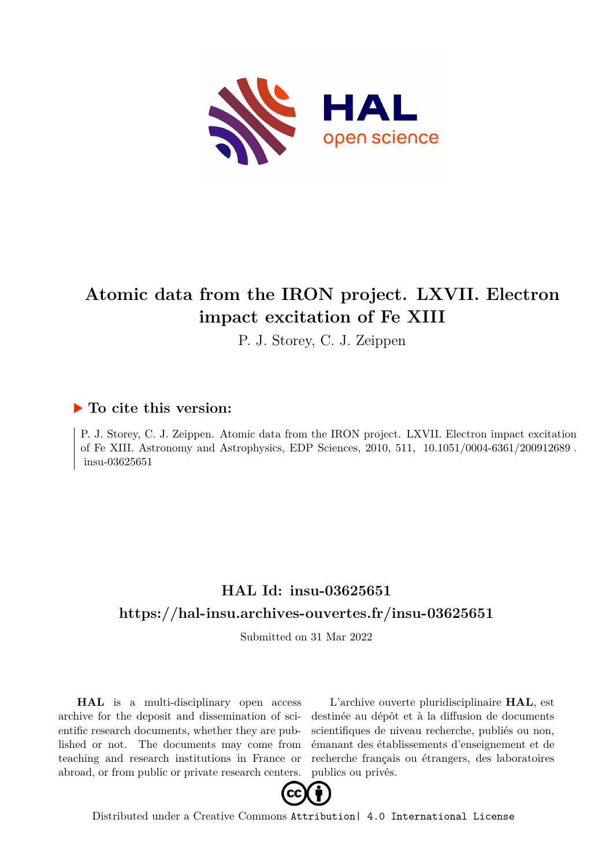

# **Atomic data from the IRON project. LXVII. Electron impact excitation of Fe XIII**

P. J. Storey, C. J. Zeippen

### **To cite this version:**

P. J. Storey, C. J. Zeippen. Atomic data from the IRON project. LXVII. Electron impact excitation of Fe XIII. Astronomy and Astrophysics, EDP Sciences,  $2010$ ,  $511$ ,  $10.1051/0004-6361/200912689$ .  $insu-03625651$ 

## **HAL Id: insu-03625651 <https://hal-insu.archives-ouvertes.fr/insu-03625651>**

Submitted on 31 Mar 2022

**HAL** is a multi-disciplinary open access archive for the deposit and dissemination of scientific research documents, whether they are published or not. The documents may come from teaching and research institutions in France or abroad, or from public or private research centers.

L'archive ouverte pluridisciplinaire **HAL**, est destinée au dépôt et à la diffusion de documents scientifiques de niveau recherche, publiés ou non, émanant des établissements d'enseignement et de recherche français ou étrangers, des laboratoires publics ou privés.



Distributed under a Creative Commons [Attribution| 4.0 International License](http://creativecommons.org/licenses/by/4.0/)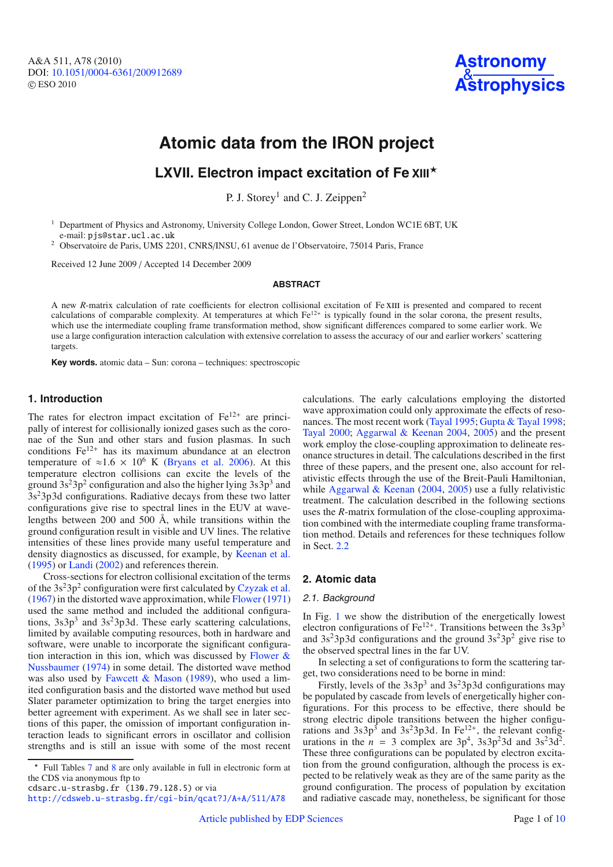A&A 511, A78 (2010) DOI: 10.1051/0004-6361/[200912689](http://dx.doi.org/10.1051/0004-6361/200912689) © ESO 2010



## **Atomic data from the IRON project**

## **LXVII. Electron impact excitation of Fe XIII**-

P. J. Storey<sup>1</sup> and C. J. Zeippen<sup>2</sup>

<sup>1</sup> Department of Physics and Astronomy, University College London, Gower Street, London WC1E 6BT, UK e-mail: pjs@star.ucl.ac.uk

<sup>2</sup> Observatoire de Paris, UMS 2201, CNRS/INSU, 61 avenue de l'Observatoire, 75014 Paris, France

Received 12 June 2009 / Accepted 14 December 2009

#### **ABSTRACT**

A new *R*-matrix calculation of rate coefficients for electron collisional excitation of Fe XIII is presented and compared to recent calculations of comparable complexity. At temperatures at which  $Fe^{12+}$  is typically found in the solar corona, the present results, which use the intermediate coupling frame transformation method, show significant differences compared to some earlier work. We use a large configuration interaction calculation with extensive correlation to assess the accuracy of our and earlier workers' scattering targets.

**Key words.** atomic data – Sun: corona – techniques: spectroscopic

#### **1. Introduction**

The rates for electron impact excitation of  $Fe^{12+}$  are principally of interest for collisionally ionized gases such as the coronae of the Sun and other stars and fusion plasmas. In such conditions  $Fe^{12+}$  has its maximum abundance at an electron temperature of  $\approx 1.6 \times 10^6$  K (Bryans et al. 2006). At this temperature electron collisions can excite the levels of the ground  $3s<sup>2</sup>3p<sup>2</sup>$  configuration and also the higher lying  $3s3p<sup>3</sup>$  and  $3s<sup>2</sup>3p3d$  configurations. Radiative decays from these two latter configurations give rise to spectral lines in the EUV at wavelengths between 200 and 500 Å, while transitions within the ground configuration result in visible and UV lines. The relative intensities of these lines provide many useful temperature and density diagnostics as discussed, for example, by Keenan et al. (1995) or Landi (2002) and references therein.

Cross-sections for electron collisional excitation of the terms of the  $3s^23p^2$  configuration were first calculated by Czyzak et al. (1967) in the distorted wave approximation, while Flower (1971) used the same method and included the additional configurations,  $3s3p<sup>3</sup>$  and  $3s<sup>2</sup>3p3d$ . These early scattering calculations, limited by available computing resources, both in hardware and software, were unable to incorporate the significant configuration interaction in this ion, which was discussed by Flower  $\&$ Nussbaumer (1974) in some detail. The distorted wave method was also used by Fawcett & Mason (1989), who used a limited configuration basis and the distorted wave method but used Slater parameter optimization to bring the target energies into better agreement with experiment. As we shall see in later sections of this paper, the omission of important configuration interaction leads to significant errors in oscillator and collision strengths and is still an issue with some of the most recent

cdsarc.u-strasbg.fr (130.79.128.5) or via

calculations. The early calculations employing the distorted wave approximation could only approximate the effects of resonances. The most recent work (Tayal 1995; Gupta & Tayal 1998; Tayal 2000; Aggarwal & Keenan 2004, 2005) and the present work employ the close-coupling approximation to delineate resonance structures in detail. The calculations described in the first three of these papers, and the present one, also account for relativistic effects through the use of the Breit-Pauli Hamiltonian, while Aggarwal & Keenan (2004, 2005) use a fully relativistic treatment. The calculation described in the following sections uses the *R*-matrix formulation of the close-coupling approximation combined with the intermediate coupling frame transformation method. Details and references for these techniques follow in Sect. 2.2

#### **2. Atomic data**

#### 2.1. Background

In Fig. 1 we show the distribution of the energetically lowest electron configurations of  $Fe^{12+}$ . Transitions between the 3s3p<sup>3</sup> and  $3s^23p3d$  configurations and the ground  $3s^23p^2$  give rise to the observed spectral lines in the far UV.

In selecting a set of configurations to form the scattering target, two considerations need to be borne in mind:

Firstly, levels of the  $3s^2\pi^3$  and  $3s^2\pi^3$  configurations may be populated by cascade from levels of energetically higher configurations. For this process to be effective, there should be strong electric dipole transitions between the higher configurations and  $3s3p<sup>3</sup>$  and  $3s<sup>2</sup>3p3d$ . In Fe<sup>12+</sup>, the relevant configurations in the  $n = 3$  complex are  $3p^4$ ,  $3s^3p^23d$  and  $3s^23d^2$ . These three configurations can be populated by electron excitation from the ground configuration, although the process is expected to be relatively weak as they are of the same parity as the ground configuration. The process of population by excitation and radiative cascade may, nonetheless, be significant for those

<sup>\*</sup> Full Tables 7 and 8 are only available in full in electronic form at the CDS via anonymous ftp to

<http://cdsweb.u-strasbg.fr/cgi-bin/qcat?J/A+A/511/A78>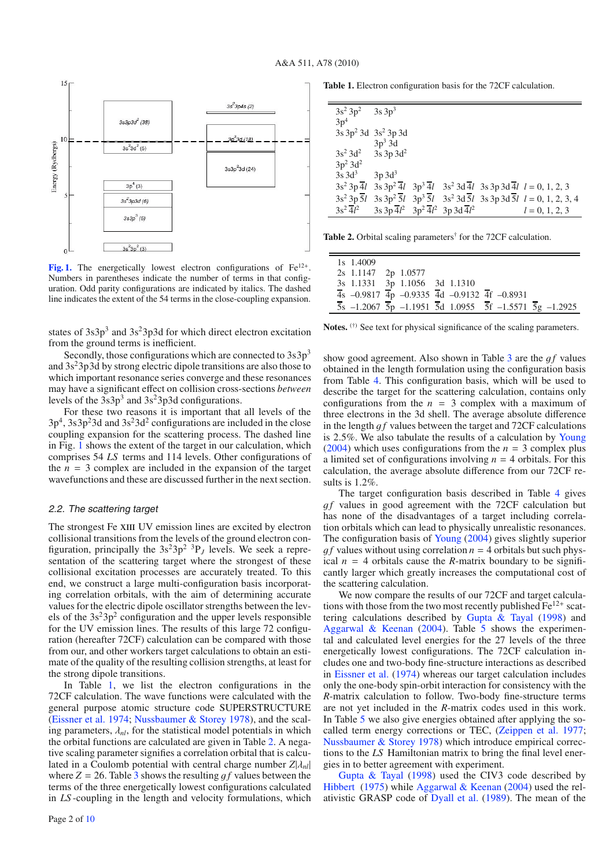

[Fig. 1.](http://dexter.edpsciences.org/applet.php?DOI=10.1051/0004-6361/200912689&pdf_id=1) The energetically lowest electron configurations of Fe<sup>12+</sup>. Numbers in parentheses indicate the number of terms in that configuration. Odd parity configurations are indicated by italics. The dashed line indicates the extent of the 54 terms in the close-coupling expansion.

states of  $3s3p<sup>3</sup>$  and  $3s<sup>2</sup>3p3d$  for which direct electron excitation from the ground terms is inefficient.

Secondly, those configurations which are connected to  $3s3p<sup>3</sup>$ and  $3s<sup>2</sup>3p3d$  by strong electric dipole transitions are also those to which important resonance series converge and these resonances may have a significant effect on collision cross-sections *between* levels of the  $3s^3p^3$  and  $3s^23p^3d$  configurations.

For these two reasons it is important that all levels of the  $3p<sup>4</sup>$ ,  $3s3p<sup>2</sup>3d$  and  $3s<sup>2</sup>3d<sup>2</sup>$  configurations are included in the close coupling expansion for the scattering process. The dashed line in Fig. 1 shows the extent of the target in our calculation, which comprises 54 *LS* terms and 114 levels. Other configurations of the  $n = 3$  complex are included in the expansion of the target wavefunctions and these are discussed further in the next section.

#### 2.2. The scattering target

The strongest Fe XIII UV emission lines are excited by electron collisional transitions from the levels of the ground electron configuration, principally the  $3s^23p^2$  <sup>3</sup>P<sub>J</sub> levels. We seek a representation of the scattering target where the strongest of these collisional excitation processes are accurately treated. To this end, we construct a large multi-configuration basis incorporating correlation orbitals, with the aim of determining accurate values for the electric dipole oscillator strengths between the levels of the  $3s<sup>2</sup>3p<sup>2</sup>$  configuration and the upper levels responsible for the UV emission lines. The results of this large 72 configuration (hereafter 72CF) calculation can be compared with those from our, and other workers target calculations to obtain an estimate of the quality of the resulting collision strengths, at least for the strong dipole transitions.

In Table 1, we list the electron configurations in the 72CF calculation. The wave functions were calculated with the general purpose atomic structure code SUPERSTRUCTURE (Eissner et al. 1974; Nussbaumer & Storey 1978), and the scaling parameters,  $\lambda_{nl}$ , for the statistical model potentials in which the orbital functions are calculated are given in Table 2. A negative scaling parameter signifies a correlation orbital that is calculated in a Coulomb potential with central charge number  $Z|\lambda_{nl}|$ where  $Z = 26$ . Table 3 shows the resulting *af* values between the terms of the three energetically lowest configurations calculated in *LS* -coupling in the length and velocity formulations, which

**Table 1.** Electron configuration basis for the 72CF calculation.

| $3s^2 3p^2$ $3s 3p^3$                          |                                                                             |  |                                                                                                                                           |
|------------------------------------------------|-----------------------------------------------------------------------------|--|-------------------------------------------------------------------------------------------------------------------------------------------|
| 3p <sup>4</sup>                                |                                                                             |  |                                                                                                                                           |
|                                                | 3s 3p <sup>2</sup> 3d 3s <sup>2</sup> 3p 3d                                 |  |                                                                                                                                           |
|                                                | $3p^3$ 3d                                                                   |  |                                                                                                                                           |
| $3s^2$ 3d <sup>2</sup> $3s$ 3p 3d <sup>2</sup> |                                                                             |  |                                                                                                                                           |
| $3p^2 3d^2$                                    |                                                                             |  |                                                                                                                                           |
| $3s\,3d^3$                                     | $3p$ 3d <sup>3</sup>                                                        |  |                                                                                                                                           |
|                                                |                                                                             |  | $3s^2 3p \overline{4}l$ $3s 3p^2 \overline{4}l$ $3p^3 \overline{4}l$ $3s^2 3d \overline{4}l$ $3s 3p 3d \overline{4}l$ $l = 0, 1, 2, 3$    |
|                                                |                                                                             |  | $3s^2 3p \overline{5}l$ $3s 3p^2 \overline{5}l$ $3p^3 \overline{5}l$ $3s^2 3d \overline{5}l$ $3s 3p 3d \overline{5}l$ $l = 0, 1, 2, 3, 4$ |
| $3s^2\overline{4}l^2$                          | $3s\ 3p\ \overline{4}l^2$ $3p^2\ \overline{4}l^2$ $3p\ 3d\ \overline{4}l^2$ |  | $l = 0, 1, 2, 3$                                                                                                                          |

Table 2. Orbital scaling parameters<sup>†</sup> for the 72CF calculation.

| 1s 1.4009 |                                                                                                                             |  |  |
|-----------|-----------------------------------------------------------------------------------------------------------------------------|--|--|
|           | 2s 1.1147 2p 1.0577                                                                                                         |  |  |
|           | 3s 1.1331 3p 1.1056 3d 1.1310                                                                                               |  |  |
|           | $\overline{4}$ s -0.9817 $\overline{4}$ p -0.9335 $\overline{4}$ d -0.9132 $\overline{4}$ f -0.8931                         |  |  |
|           | $\overline{5}$ s -1.2067 $\overline{5}$ p -1.1951 $\overline{5}$ d 1.0955 $\overline{5}$ f -1.5571 $\overline{5}$ g -1.2925 |  |  |

Notes. (†) See text for physical significance of the scaling parameters.

show good agreement. Also shown in Table  $\overline{3}$  are the  $\overline{q}f$  values obtained in the length formulation using the configuration basis from Table 4. This configuration basis, which will be used to describe the target for the scattering calculation, contains only configurations from the  $n = 3$  complex with a maximum of three electrons in the 3d shell. The average absolute difference in the length  $gf$  values between the target and 72CF calculations is 2.5%. We also tabulate the results of a calculation by Young (2004) which uses configurations from the  $n = 3$  complex plus a limited set of configurations involving  $n = 4$  orbitals. For this calculation, the average absolute difference from our 72CF results is 1.2%.

The target configuration basis described in Table 4 gives *gf* values in good agreement with the 72CF calculation but has none of the disadvantages of a target including correlation orbitals which can lead to physically unrealistic resonances. The configuration basis of Young (2004) gives slightly superior *gf* values without using correlation  $n = 4$  orbitals but such physical  $n = 4$  orbitals cause the *R*-matrix boundary to be significantly larger which greatly increases the computational cost of the scattering calculation.

We now compare the results of our 72CF and target calculations with those from the two most recently published  $Fe^{12+}$  scattering calculations described by Gupta  $\&$  Tayal (1998) and Aggarwal & Keenan  $(2004)$ . Table 5 shows the experimental and calculated level energies for the 27 levels of the three energetically lowest configurations. The 72CF calculation includes one and two-body fine-structure interactions as described in Eissner et al. (1974) whereas our target calculation includes only the one-body spin-orbit interaction for consistency with the *R*-matrix calculation to follow. Two-body fine-structure terms are not yet included in the *R*-matrix codes used in this work. In Table 5 we also give energies obtained after applying the socalled term energy corrections or TEC, (Zeippen et al. 1977; Nussbaumer & Storey 1978) which introduce empirical corrections to the *LS* Hamiltonian matrix to bring the final level energies in to better agreement with experiment.

Gupta & Tayal (1998) used the CIV3 code described by Hibbert (1975) while Aggarwal & Keenan (2004) used the relativistic GRASP code of Dyall et al. (1989). The mean of the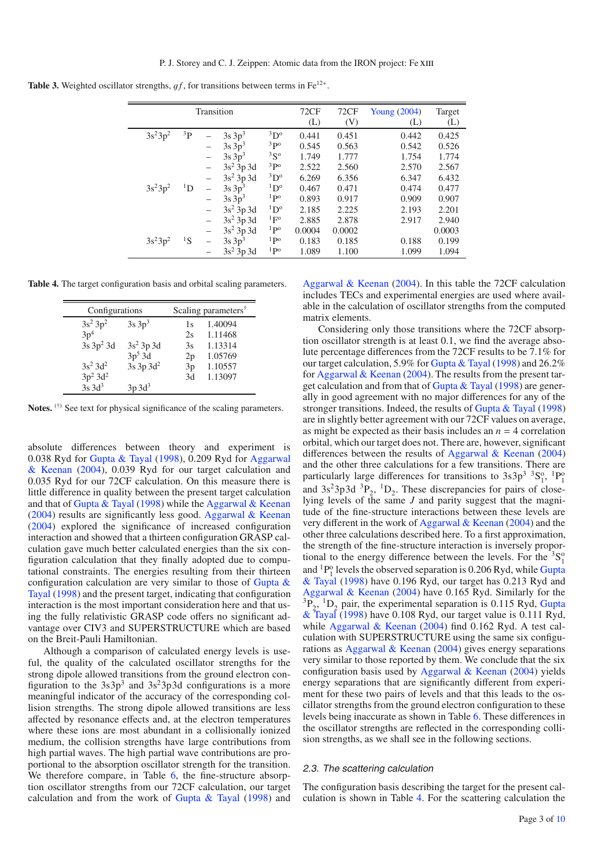**Table 3.** Weighted oscillator strengths,  $gf$ , for transitions between terms in Fe<sup>12+</sup>.

|            |           | Transition |              |                   | 72CF<br>(L) | 72CF<br>(V) | Young $(2004)$<br>(L) | Target<br>(L) |
|------------|-----------|------------|--------------|-------------------|-------------|-------------|-----------------------|---------------|
| $3s^23p^2$ | $^{3}P$   |            | $3s\,3p^3$   | ${}^{3}D^{o}$     | 0.441       | 0.451       | 0.442                 | 0.425         |
|            |           |            | $3s\,3p^3$   | 3p <sub>0</sub>   | 0.545       | 0.563       | 0.542                 | 0.526         |
|            |           |            | $3s\,3p^3$   | 3S <sup>o</sup>   | 1.749       | 1.777       | 1.754                 | 1.774         |
|            |           |            | $3s^2$ 3p 3d | $3p$ <sup>o</sup> | 2.522       | 2.560       | 2.570                 | 2.567         |
|            |           |            | $3s^2$ 3p 3d | ${}^{3}D^{o}$     | 6.269       | 6.356       | 6.347                 | 6.432         |
| $3s^23p^2$ | $\rm ^1D$ |            | $3s\,3p^3$   | $1D^{\circ}$      | 0.467       | 0.471       | 0.474                 | 0.477         |
|            |           |            | $3s\,3p^3$   | ${}^{1}P^{o}$     | 0.893       | 0.917       | 0.909                 | 0.907         |
|            |           |            | $3s^2$ 3p 3d | $1D^{\circ}$      | 2.185       | 2.225       | 2.193                 | 2.201         |
|            |           |            | $3s^2$ 3p 3d | 1 <sup>1</sup>    | 2.885       | 2.878       | 2.917                 | 2.940         |
|            |           |            | $3s^2$ 3p 3d | $1p^0$            | 0.0004      | 0.0002      |                       | 0.0003        |
| $3s^23p^2$ | ${}^{1}S$ |            | $3s\,3p^3$   | $1P^0$            | 0.183       | 0.185       | 0.188                 | 0.199         |
|            |           |            | $3s^2$ 3p 3d | 1 <sup>p</sup>    | 1.089       | 1.100       | 1.099                 | 1.094         |

**Table 4.** The target configuration basis and orbital scaling parameters.

| Configurations  |                      |    | Scaling parameters <sup>†</sup> |
|-----------------|----------------------|----|---------------------------------|
| $3s^2 3p^2$     | $3s\,3p^3$           | 1s | 1.40094                         |
| 3p <sup>4</sup> |                      | 2s | 1.11468                         |
| $3s$ 3 $p^2$ 3d | $3s^2$ 3p 3d         | 3s | 1.13314                         |
|                 | $3p5$ 3d             | 2p | 1.05769                         |
| $3s^2 3d^2$     | $3s$ 3p $3d^2$       | 3p | 1.10557                         |
| $3p^2 3d^2$     |                      | 3d | 1.13097                         |
| $3s$ $3d^3$     | $3p$ 3d <sup>3</sup> |    |                                 |

**Notes.** (†) See text for physical significance of the scaling parameters.

absolute differences between theory and experiment is 0.038 Ryd for Gupta & Tayal (1998), 0.209 Ryd for Aggarwal & Keenan (2004), 0.039 Ryd for our target calculation and 0.035 Ryd for our 72CF calculation. On this measure there is little difference in quality between the present target calculation and that of Gupta & Tayal (1998) while the Aggarwal & Keenan (2004) results are significantly less good. Aggarwal & Keenan (2004) explored the significance of increased configuration interaction and showed that a thirteen configuration GRASP calculation gave much better calculated energies than the six configuration calculation that they finally adopted due to computational constraints. The energies resulting from their thirteen configuration calculation are very similar to those of Gupta & Tayal (1998) and the present target, indicating that configuration interaction is the most important consideration here and that using the fully relativistic GRASP code offers no significant advantage over CIV3 and SUPERSTRUCTURE which are based on the Breit-Pauli Hamiltonian.

Although a comparison of calculated energy levels is useful, the quality of the calculated oscillator strengths for the strong dipole allowed transitions from the ground electron configuration to the  $3s^2\pi^3$  and  $3s^2\pi^3$  configurations is a more meaningful indicator of the accuracy of the corresponding collision strengths. The strong dipole allowed transitions are less affected by resonance effects and, at the electron temperatures where these ions are most abundant in a collisionally ionized medium, the collision strengths have large contributions from high partial waves. The high partial wave contributions are proportional to the absorption oscillator strength for the transition. We therefore compare, in Table 6, the fine-structure absorption oscillator strengths from our 72CF calculation, our target calculation and from the work of Gupta & Tayal (1998) and

Aggarwal & Keenan (2004). In this table the 72CF calculation includes TECs and experimental energies are used where available in the calculation of oscillator strengths from the computed matrix elements.

Considering only those transitions where the 72CF absorption oscillator strength is at least 0.1, we find the average absolute percentage differences from the 72CF results to be 7.1% for our target calculation, 5.9% for Gupta & Tayal (1998) and 26.2% for Aggarwal & Keenan (2004). The results from the present target calculation and from that of Gupta & Tayal (1998) are generally in good agreement with no major differences for any of the stronger transitions. Indeed, the results of Gupta & Tayal (1998) are in slightly better agreement with our 72CF values on average, as might be expected as their basis includes an  $n = 4$  correlation orbital, which our target does not. There are, however, significant differences between the results of Aggarwal & Keenan (2004) and the other three calculations for a few transitions. There are particularly large differences for transitions to  $3s3p^3$   ${}^{3}S_1^{\circ}$ ,  ${}^{1}P_1^{\circ}$ and  $3s^23p3d \frac{3p}{2}$ ,  $1D_2$ . These discrepancies for pairs of closelying levels of the same *J* and parity suggest that the magnitude of the fine-structure interactions between these levels are very different in the work of Aggarwal & Keenan (2004) and the other three calculations described here. To a first approximation, the strength of the fine-structure interaction is inversely proportional to the energy difference between the levels. For the  $3S_1^{\circ}$ and  ${}^{1}P_{1}^{0}$  levels the observed separation is 0.206 Ryd, while Gupta & Tayal (1998) have 0.196 Ryd, our target has 0.213 Ryd and Aggarwal & Keenan (2004) have 0.165 Ryd. Similarly for the  ${}^{3}P_{2}$ ,  ${}^{1}D_{2}$  pair, the experimental separation is 0.115 Ryd, Gupta  $&$  Tayal (1998) have 0.108 Ryd, our target value is 0.111 Ryd, while Aggarwal & Keenan (2004) find 0.162 Ryd. A test calculation with SUPERSTRUCTURE using the same six configurations as Aggarwal & Keenan (2004) gives energy separations very similar to those reported by them. We conclude that the six configuration basis used by Aggarwal & Keenan (2004) yields energy separations that are significantly different from experiment for these two pairs of levels and that this leads to the oscillator strengths from the ground electron configuration to these levels being inaccurate as shown in Table 6. These differences in the oscillator strengths are reflected in the corresponding collision strengths, as we shall see in the following sections.

#### 2.3. The scattering calculation

The configuration basis describing the target for the present calculation is shown in Table 4. For the scattering calculation the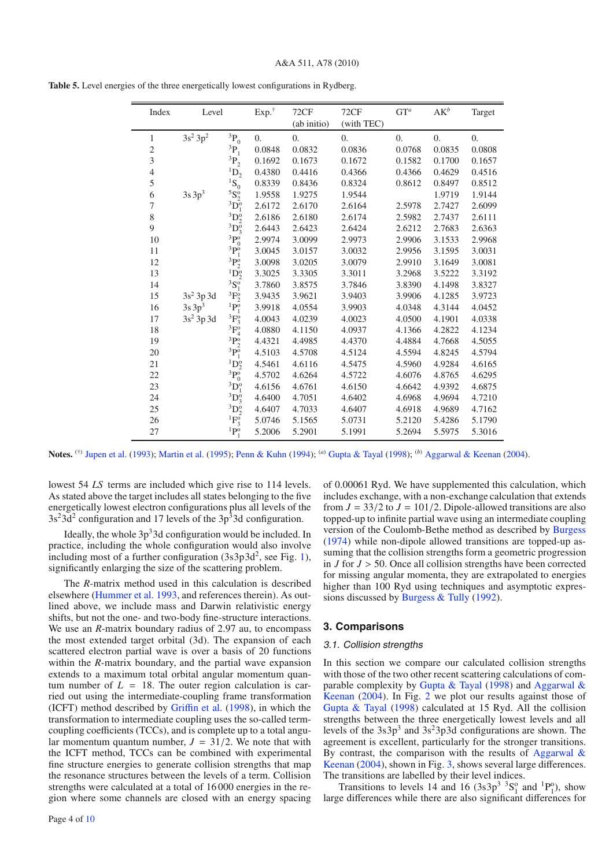| Index          | Level                        |                                        | $Exp.^{\dagger}$ | 72CF<br>(ab initio) | 72CF<br>(with TEC) | $GT^a$           | $AK^b$           | Target           |
|----------------|------------------------------|----------------------------------------|------------------|---------------------|--------------------|------------------|------------------|------------------|
| 1              | $^3{\rm P}_0$<br>$3s^2 3p^2$ |                                        | $\theta$ .       | $\overline{0}$ .    | $\overline{0}$ .   | $\overline{0}$ . | $\overline{0}$ . | $\overline{0}$ . |
| $\overline{c}$ |                              | ${}^3P_1$                              | 0.0848           | 0.0832              | 0.0836             | 0.0768           | 0.0835           | 0.0808           |
| 3              |                              | ${}^3P_2$                              | 0.1692           | 0.1673              | 0.1672             | 0.1582           | 0.1700           | 0.1657           |
| $\overline{4}$ |                              | ${}^{1}D_{2}$                          | 0.4380           | 0.4416              | 0.4366             | 0.4366           | 0.4629           | 0.4516           |
| 5              |                              | ${}^1S_0$                              | 0.8339           | 0.8436              | 0.8324             | 0.8612           | 0.8497           | 0.8512           |
| 6              | 3s3p <sup>3</sup>            | ${}^{5}S_{2}^{6}$                      | 1.9558           | 1.9275              | 1.9544             |                  | 1.9719           | 1.9144           |
| 7              |                              | ${}^3D_1^0$                            | 2.6172           | 2.6170              | 2.6164             | 2.5978           | 2.7427           | 2.6099           |
| 8              |                              | ${}^3D_2^0$                            | 2.6186           | 2.6180              | 2.6174             | 2.5982           | 2.7437           | 2.6111           |
| 9              |                              | ${}^3D_3^0$                            | 2.6443           | 2.6423              | 2.6424             | 2.6212           | 2.7683           | 2.6363           |
| 10             |                              | ${}^3P_0^o$                            | 2.9974           | 3.0099              | 2.9973             | 2.9906           | 3.1533           | 2.9968           |
| 11             |                              | ${}^{3}P_{1}^{0}$                      | 3.0045           | 3.0157              | 3.0032             | 2.9956           | 3.1595           | 3.0031           |
| 12             |                              | ${}^{3}P_{2}^{0}$                      | 3.0098           | 3.0205              | 3.0079             | 2.9910           | 3.1649           | 3.0081           |
| 13             |                              | ${}^{1}\overline{D_2^0}$               | 3.3025           | 3.3305              | 3.3011             | 3.2968           | 3.5222           | 3.3192           |
| 14             |                              | ${}^3S_1^{\overline{0}}$               | 3.7860           | 3.8575              | 3.7846             | 3.8390           | 4.1498           | 3.8327           |
| 15             | 3s <sup>2</sup> 3p 3d        | ${}^{3}F_{2}^{o}$<br>${}^{1}P_{1}^{o}$ | 3.9435           | 3.9621              | 3.9403             | 3.9906           | 4.1285           | 3.9723           |
| 16             | 3s 3p <sup>3</sup>           |                                        | 3.9918           | 4.0554              | 3.9903             | 4.0348           | 4.3144           | 4.0452           |
| 17             | $3s^2$ 3p 3d                 | ${}^{3}F_{3}^{0}$                      | 4.0043           | 4.0239              | 4.0023             | 4.0500           | 4.1901           | 4.0338           |
| 18             |                              | ${}^3F^0_4$                            | 4.0880           | 4.1150              | 4.0937             | 4.1366           | 4.2822           | 4.1234           |
| 19             |                              | ${}^{3}P_{2}^{o}$<br>${}^{3}P_{1}^{o}$ | 4.4321           | 4.4985              | 4.4370             | 4.4884           | 4.7668           | 4.5055           |
| 20             |                              |                                        | 4.5103           | 4.5708              | 4.5124             | 4.5594           | 4.8245           | 4.5794           |
| 21             |                              | ${}^1D_2^o$                            | 4.5461           | 4.6116              | 4.5475             | 4.5960           | 4.9284           | 4.6165           |
| $22\,$         |                              | ${}^3P_0^{\overline{o}}$               | 4.5702           | 4.6264              | 4.5722             | 4.6076           | 4.8765           | 4.6295           |
| 23             |                              | ${}^3D_1^0$                            | 4.6156           | 4.6761              | 4.6150             | 4.6642           | 4.9392           | 4.6875           |
| 24             |                              | ${}^3D_3^o$                            | 4.6400           | 4.7051              | 4.6402             | 4.6968           | 4.9694           | 4.7210           |
| 25             |                              | ${}^3D_2^o$                            | 4.6407           | 4.7033              | 4.6407             | 4.6918           | 4.9689           | 4.7162           |
| 26             |                              | ${}^{1}F_{3}^{0}$                      | 5.0746           | 5.1565              | 5.0731             | 5.2120           | 5.4286           | 5.1790           |
| 27             |                              | ${}^{1}P_{1}^{0}$                      | 5.2006           | 5.2901              | 5.1991             | 5.2694           | 5.5975           | 5.3016           |

**Table 5.** Level energies of the three energetically lowest configurations in Rydberg.

**Notes.** (†) Jupen et al. (1993); Martin et al. (1995); Penn & Kuhn (1994); (*a*) Gupta & Tayal (1998); (*b*) Aggarwal & Keenan (2004).

lowest 54 *LS* terms are included which give rise to 114 levels. As stated above the target includes all states belonging to the five energetically lowest electron configurations plus all levels of the  $3s<sup>2</sup>3d<sup>2</sup>$  configuration and 17 levels of the  $3p<sup>3</sup>3d$  configuration.

Ideally, the whole  $3p<sup>3</sup>3d$  configuration would be included. In practice, including the whole configuration would also involve including most of a further configuration  $(3s3p3d^2,$  see Fig. 1), significantly enlarging the size of the scattering problem.

The *R*-matrix method used in this calculation is described elsewhere (Hummer et al. 1993, and references therein). As outlined above, we include mass and Darwin relativistic energy shifts, but not the one- and two-body fine-structure interactions. We use an *R*-matrix boundary radius of 2.97 au, to encompass the most extended target orbital (3d). The expansion of each scattered electron partial wave is over a basis of 20 functions within the *R*-matrix boundary, and the partial wave expansion extends to a maximum total orbital angular momentum quantum number of  $L = 18$ . The outer region calculation is carried out using the intermediate-coupling frame transformation (ICFT) method described by Griffin et al. (1998), in which the transformation to intermediate coupling uses the so-called termcoupling coefficients (TCCs), and is complete up to a total angular momentum quantum number,  $J = 31/2$ . We note that with the ICFT method, TCCs can be combined with experimental fine structure energies to generate collision strengths that map the resonance structures between the levels of a term. Collision strengths were calculated at a total of 16 000 energies in the region where some channels are closed with an energy spacing

of 0.00061 Ryd. We have supplemented this calculation, which includes exchange, with a non-exchange calculation that extends from  $J = 33/2$  to  $J = 101/2$ . Dipole-allowed transitions are also topped-up to infinite partial wave using an intermediate coupling version of the Coulomb-Bethe method as described by Burgess (1974) while non-dipole allowed transitions are topped-up assuming that the collision strengths form a geometric progression in  $J$  for  $J > 50$ . Once all collision strengths have been corrected for missing angular momenta, they are extrapolated to energies higher than 100 Ryd using techniques and asymptotic expressions discussed by Burgess & Tully (1992).

#### **3. Comparisons**

#### 3.1. Collision strengths

In this section we compare our calculated collision strengths with those of the two other recent scattering calculations of comparable complexity by Gupta & Tayal (1998) and Aggarwal  $\&$ Keenan (2004). In Fig. 2 we plot our results against those of Gupta & Tayal (1998) calculated at 15 Ryd. All the collision strengths between the three energetically lowest levels and all levels of the  $3s^3p^3$  and  $3s^23p^3d$  configurations are shown. The agreement is excellent, particularly for the stronger transitions. By contrast, the comparison with the results of Aggarwal  $\&$ Keenan (2004), shown in Fig. 3, shows several large differences. The transitions are labelled by their level indices.

Transitions to levels 14 and 16  $(3s3p<sup>3</sup> 3S<sub>1</sub><sup>o</sup>$  and <sup>1</sup>P<sub>1</sub><sup>o</sup>), show large differences while there are also significant differences for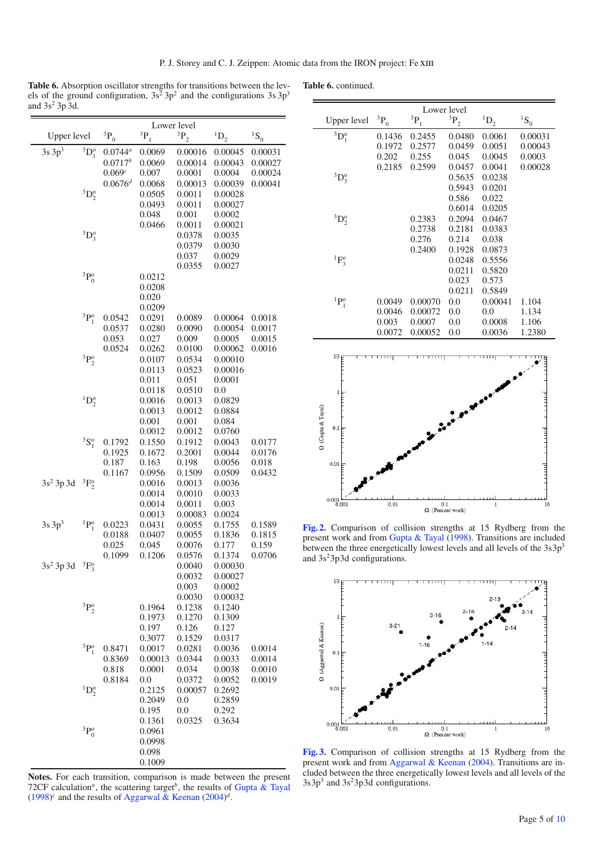**Table 6.** Absorption oscillator strengths for transitions between the levels of the ground configuration,  $3s^2 3p^2$  and the configurations  $3s 3p^3$ and  $3s^2$  3p 3d.

**Table 6.** continued.

|                    |                     |                                     |                                               | Lower level                                    |                                                    |                                      |  |  |
|--------------------|---------------------|-------------------------------------|-----------------------------------------------|------------------------------------------------|----------------------------------------------------|--------------------------------------|--|--|
| <b>Upper level</b> |                     | ${}^3P_0$                           | ${}^3P_1$                                     | ${}^3P_2$                                      | ${}^{1}D_{2}$                                      | ${}^1S_0$                            |  |  |
| 3s 3p <sup>3</sup> | ${}^3D_1^o$         | $0.0744^a$<br>$0.0717^b$<br>0.069c  | 0.0069<br>0.0069<br>0.007                     | 0.00016<br>0.00014<br>0.0001                   | 0.00045<br>0.00043<br>0.0004                       | 0.00031<br>0.00027<br>0.00024        |  |  |
|                    | ${}^3D_2^0$         | $0.0676^{d}$                        | 0.0068<br>0.0505<br>0.0493<br>0.048<br>0.0466 | 0.00013<br>0.0011<br>0.0011<br>0.001<br>0.0011 | 0.00039<br>0.00028<br>0.00027<br>0.0002<br>0.00021 | 0.00041                              |  |  |
|                    | ${}^3D_3^o$         |                                     |                                               | 0.0378<br>0.0379<br>0.037<br>0.0355            | 0.0035<br>0.0030<br>0.0029<br>0.0027               |                                      |  |  |
|                    | ${}^{3}P_{0}^{o}$   |                                     | 0.0212<br>0.0208<br>0.020<br>0.0209           |                                                |                                                    |                                      |  |  |
|                    | ${}^3P_1^o$         | 0.0542<br>0.0537<br>0.053<br>0.0524 | 0.0291<br>0.0280<br>0.027<br>0.0262           | 0.0089<br>0.0090<br>0.009<br>0.0100            | 0.00064<br>0.00054<br>0.0005<br>0.00062            | 0.0018<br>0.0017<br>0.0015<br>0.0016 |  |  |
|                    | ${}^3P_2^o$         |                                     | 0.0107<br>0.0113<br>0.011<br>0.0118           | 0.0534<br>0.0523<br>0.051<br>0.0510            | 0.00010<br>0.00016<br>0.0001<br>0.0                |                                      |  |  |
|                    | ${}^{1}D_{2}^{o}$   |                                     | 0.0016<br>0.0013<br>0.001<br>0.0012           | 0.0013<br>0.0012<br>0.001<br>0.0012            | 0.0829<br>0.0884<br>0.084<br>0.0760                |                                      |  |  |
|                    | ${}^3S_1^o$         | 0.1792<br>0.1925<br>0.187<br>0.1167 | 0.1550<br>0.1672<br>0.163<br>0.0956           | 0.1912<br>0.2001<br>0.198<br>0.1509            | 0.0043<br>0.0044<br>0.0056<br>0.0509               | 0.0177<br>0.0176<br>0.018<br>0.0432  |  |  |
| $3s^2$ 3p 3d       | ${}^{3}F_{2}^{o}$   |                                     | 0.0016<br>0.0014<br>0.0014<br>0.0013          | 0.0013<br>0.0010<br>0.0011<br>0.00083          | 0.0036<br>0.0033<br>0.003<br>0.0024                |                                      |  |  |
| 3s 3p <sup>3</sup> | ${}^{1}P_1^{\circ}$ | 0.0223<br>0.0188<br>0.025<br>0.1099 | 0.0431<br>0.0407<br>0.045<br>0.1206           | 0.0055<br>0.0055<br>0.0076<br>0.0576           | 0.1755<br>0.1836<br>0.177<br>0.1374                | 0.1589<br>0.1815<br>0.159<br>0.0706  |  |  |
| $3s^2$ 3p 3d       | ${}^3F^0_3$         |                                     |                                               | 0.0040<br>0.0032<br>0.003<br>0.0030            | 0.00030<br>0.00027<br>0.0002<br>0.00032            |                                      |  |  |
|                    | ${}^3P_2^o$         |                                     | 0.1964<br>0.1973<br>0.197<br>0.3077           | 0.1238<br>0.1270<br>0.126<br>0.1529            | 0.1240<br>0.1309<br>0.127<br>0.0317                |                                      |  |  |
|                    | ${}^{3}P_{1}^{0}$   | 0.8471<br>0.8369<br>0.818<br>0.8184 | 0.0017<br>0.00013<br>0.0001<br>0.0            | 0.0281<br>0.0344<br>0.034<br>0.0372            | 0.0036<br>0.0033<br>0.0038<br>0.0052               | 0.0014<br>0.0014<br>0.0010<br>0.0019 |  |  |
|                    | ${}^1D_2^o$         |                                     | 0.2125<br>0.2049<br>0.195<br>0.1361           | 0.00057<br>$0.0\,$<br>0.0<br>0.0325            | 0.2692<br>0.2859<br>0.292<br>0.3634                |                                      |  |  |
|                    | ${}^3P_0^o$         |                                     | 0.0961<br>0.0998<br>0.098<br>0.1009           |                                                |                                                    |                                      |  |  |

**Notes.** For each transition, comparison is made between the present 72CF calculation<sup>*a*</sup>, the scattering target<sup>*b*</sup>, the results of Gupta & Tayal  $(1998)^c$  and the results of Aggarwal & Keenan  $(2004)^d$ .

|                   |               |                  | Lower level   |               |                  |
|-------------------|---------------|------------------|---------------|---------------|------------------|
| Upper level       | ${}^{3}P_{0}$ | $^3{\rm P}$<br>1 | ${}^{3}P_{2}$ | ${}^{1}D_{2}$ | $^1\mathrm{S}_0$ |
| ${}^3D_1^o$       | 0.1436        | 0.2455           | 0.0480        | 0.0061        | 0.00031          |
|                   | 0.1972        | 0.2577           | 0.0459        | 0.0051        | 0.00043          |
|                   | 0.202         | 0.255            | 0.045         | 0.0045        | 0.0003           |
|                   | 0.2185        | 0.2599           | 0.0457        | 0.0041        | 0.00028          |
| ${}^3D_3^o$       |               |                  | 0.5635        | 0.0238        |                  |
|                   |               |                  | 0.5943        | 0.0201        |                  |
|                   |               |                  | 0.586         | 0.022         |                  |
|                   |               |                  | 0.6014        | 0.0205        |                  |
| ${}^3D_2^o$       |               | 0.2383           | 0.2094        | 0.0467        |                  |
|                   |               | 0.2738           | 0.2181        | 0.0383        |                  |
|                   |               | 0.276            | 0.214         | 0.038         |                  |
|                   |               | 0.2400           | 0.1928        | 0.0873        |                  |
| ${}^{1}F_{3}^{o}$ |               |                  | 0.0248        | 0.5556        |                  |
|                   |               |                  | 0.0211        | 0.5820        |                  |
|                   |               |                  | 0.023         | 0.573         |                  |
|                   |               |                  | 0.0211        | 0.5849        |                  |
| ${}^{1}P_{1}^{o}$ | 0.0049        | 0.00070          | 0.0           | 0.00041       | 1.104            |
|                   | 0.0046        | 0.00072          | 0.0           | 0.0           | 1.134            |
|                   | 0.003         | 0.0007           | 0.0           | 0.0008        | 1.106            |
|                   | 0.0072        | 0.00052          | 0.0           | 0.0036        | 1.2380           |
|                   |               |                  |               |               |                  |
| 10                |               |                  |               |               |                  |
| Ē                 |               |                  |               |               |                  |



**[Fig. 2.](http://dexter.edpsciences.org/applet.php?DOI=10.1051/0004-6361/200912689&pdf_id=2)** Comparison of collision strengths at 15 Rydberg from the present work and from Gupta & Tayal (1998). Transitions are included between the three energetically lowest levels and all levels of the 3s3p<sup>3</sup> and  $3s^23p3d$  configurations.



**[Fig. 3.](http://dexter.edpsciences.org/applet.php?DOI=10.1051/0004-6361/200912689&pdf_id=3)** Comparison of collision strengths at 15 Rydberg from the present work and from Aggarwal & Keenan (2004). Transitions are included between the three energetically lowest levels and all levels of the  $3s3p<sup>3</sup>$  and  $3s<sup>2</sup>3p3d$  configurations.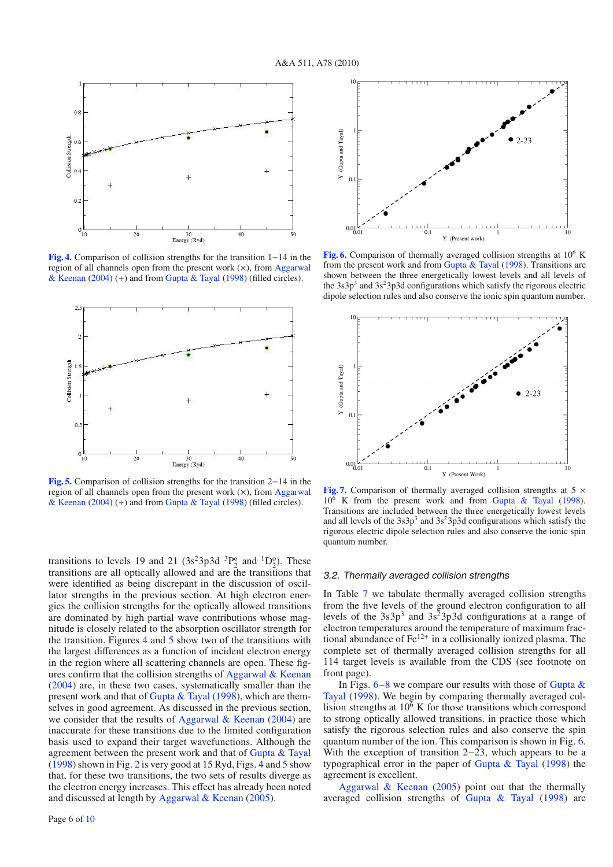

**[Fig. 4.](http://dexter.edpsciences.org/applet.php?DOI=10.1051/0004-6361/200912689&pdf_id=4)** Comparison of collision strengths for the transition 1−14 in the region of all channels open from the present work  $(x)$ , from Aggarwal & Keenan (2004) (+) and from Gupta & Tayal (1998) (filled circles).



**[Fig. 5.](http://dexter.edpsciences.org/applet.php?DOI=10.1051/0004-6361/200912689&pdf_id=5)** Comparison of collision strengths for the transition 2−14 in the region of all channels open from the present work (×), from Aggarwal & Keenan (2004) (+) and from Gupta & Tayal (1998) (filled circles).

transitions to levels 19 and 21 (3s<sup>2</sup>3p3d <sup>3</sup>P<sub>2</sub> and <sup>1</sup>D<sub>2</sub>). These transitions are all optically allowed and are the transitions that were identified as being discrepant in the discussion of oscillator strengths in the previous section. At high electron energies the collision strengths for the optically allowed transitions are dominated by high partial wave contributions whose magnitude is closely related to the absorption oscillator strength for the transition. Figures 4 and 5 show two of the transitions with the largest differences as a function of incident electron energy in the region where all scattering channels are open. These figures confirm that the collision strengths of Aggarwal & Keenan (2004) are, in these two cases, systematically smaller than the present work and that of Gupta  $&$  Tayal (1998), which are themselves in good agreement. As discussed in the previous section, we consider that the results of Aggarwal & Keenan (2004) are inaccurate for these transitions due to the limited configuration basis used to expand their target wavefunctions. Although the agreement between the present work and that of Gupta & Tayal  $(1998)$  shown in Fig. 2 is very good at 15 Ryd, Figs. 4 and 5 show that, for these two transitions, the two sets of results diverge as the electron energy increases. This effect has already been noted and discussed at length by Aggarwal & Keenan (2005).



[Fig. 6.](http://dexter.edpsciences.org/applet.php?DOI=10.1051/0004-6361/200912689&pdf_id=6) Comparison of thermally averaged collision strengths at 10<sup>6</sup> K from the present work and from Gupta & Tayal (1998). Transitions are shown between the three energetically lowest levels and all levels of the  $3s3p<sup>3</sup>$  and  $3s<sup>2</sup>3p3d$  configurations which satisfy the rigorous electric dipole selection rules and also conserve the ionic spin quantum number.



**[Fig. 7.](http://dexter.edpsciences.org/applet.php?DOI=10.1051/0004-6361/200912689&pdf_id=7)** Comparison of thermally averaged collision strengths at  $5 \times$  $10^6$  K from the present work and from Gupta & Tayal (1998). Transitions are included between the three energetically lowest levels and all levels of the  $3s^2\pi^3$  and  $3s^2\pi^3$  configurations which satisfy the rigorous electric dipole selection rules and also conserve the ionic spin quantum number.

#### 3.2. Thermally averaged collision strengths

In Table 7 we tabulate thermally averaged collision strengths from the five levels of the ground electron configuration to all levels of the  $3s3p^3$  and  $3s^23p3d$  configurations at a range of electron temperatures around the temperature of maximum fractional abundance of  $Fe^{12+}$  in a collisionally ionized plasma. The complete set of thermally averaged collision strengths for all 114 target levels is available from the CDS (see footnote on front page).

In Figs. 6−8 we compare our results with those of Gupta & Tayal (1998). We begin by comparing thermally averaged collision strengths at  $10<sup>6</sup>$  K for those transitions which correspond to strong optically allowed transitions, in practice those which satisfy the rigorous selection rules and also conserve the spin quantum number of the ion. This comparison is shown in Fig. 6. With the exception of transition 2−23, which appears to be a typographical error in the paper of Gupta & Tayal (1998) the agreement is excellent.

Aggarwal & Keenan (2005) point out that the thermally averaged collision strengths of Gupta & Tayal (1998) are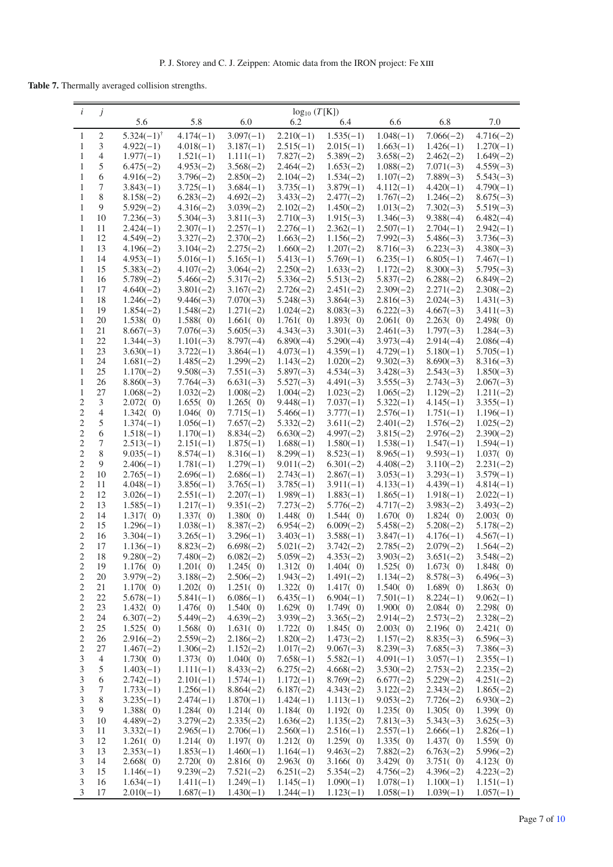**Table 7.** Thermally averaged collision strengths.

| $log_{10} (T[K])$<br>6.0<br>5.8<br>6.4<br>6.6<br>6.8<br>5.6<br>7.0<br>6.2<br>$5.324(-1)^{†}$<br>$4.174(-1)$<br>$1.048(-1)$<br>$3.097(-1)$<br>$2.210(-1)$<br>$1.535(-1)$<br>$7.066(-2)$<br>$4.716(-2)$<br>1<br>2<br>3<br>$4.922(-1)$<br>$4.018(-1)$<br>$2.515(-1)$<br>$2.015(-1)$<br>$1.663(-1)$<br>$1.270(-1)$<br>1<br>$3.187(-1)$<br>$1.426(-1)$<br>1<br>4<br>$1.977(-1)$<br>$1.521(-1)$<br>$1.111(-1)$<br>$7.827(-2)$<br>$5.389(-2)$<br>$3.658(-2)$<br>$2.462(-2)$<br>$1.649(-2)$<br>5<br>$6.475(-2)$<br>$4.953(-2)$<br>$3.568(-2)$<br>$2.464(-2)$<br>$1.653(-2)$<br>$7.071(-3)$<br>$4.559(-3)$<br>1<br>$1.088(-2)$<br>$4.916(-2)$<br>$3.796(-2)$<br>$2.104(-2)$<br>$1.534(-2)$<br>$5.543(-3)$<br>1<br>6<br>$2.850(-2)$<br>$1.107(-2)$<br>$7.889(-3)$<br>1<br>7<br>$3.843(-1)$<br>$3.725(-1)$<br>$3.684(-1)$<br>$3.735(-1)$<br>$3.879(-1)$<br>$4.112(-1)$<br>$4.420(-1)$<br>$4.790(-1)$<br>8<br>$8.158(-2)$<br>$6.283(-2)$<br>$3.433(-2)$<br>$2.477(-2)$<br>$1.246(-2)$<br>$8.675(-3)$<br>1<br>$4.692(-2)$<br>$1.767(-2)$<br>1<br>9<br>$5.929(-2)$<br>$4.316(-2)$<br>$1.013(-2)$<br>$5.519(-3)$<br>$3.039(-2)$<br>$2.102(-2)$<br>$1.450(-2)$<br>$7.302(-3)$<br>$5.304(-3)$<br>1<br>10<br>$7.236(-3)$<br>$3.811(-3)$<br>$2.710(-3)$<br>$1.915(-3)$<br>$1.346(-3)$<br>$9.388(-4)$<br>$6.482(-4)$<br>1<br>11<br>$2.424(-1)$<br>$2.307(-1)$<br>$2.276(-1)$<br>$2.257(-1)$<br>$2.362(-1)$<br>$2.507(-1)$<br>$2.704(-1)$<br>$2.942(-1)$<br>12<br>$4.549(-2)$<br>$3.327(-2)$<br>$2.370(-2)$<br>$1.663(-2)$<br>$1.156(-2)$<br>$7.992(-3)$<br>$5.486(-3)$<br>$3.736(-3)$<br>1<br>1<br>13<br>$4.196(-2)$<br>$3.104(-2)$<br>$2.275(-2)$<br>$1.660(-2)$<br>$1.207(-2)$<br>$8.716(-3)$<br>$6.223(-3)$<br>$4.380(-3)$<br>1<br>14<br>$4.953(-1)$<br>$5.016(-1)$<br>$5.165(-1)$<br>$5.413(-1)$<br>$5.769(-1)$<br>$6.235(-1)$<br>$6.805(-1)$<br>$7.467(-1)$<br>1<br>15<br>$5.383(-2)$<br>$4.107(-2)$<br>$3.064(-2)$<br>$2.250(-2)$<br>$1.633(-2)$<br>$1.172(-2)$<br>$8.300(-3)$<br>$5.795(-3)$<br>$5.466(-2)$<br>$5.336(-2)$<br>1<br>16<br>$5.789(-2)$<br>$5.317(-2)$<br>$5.513(-2)$<br>$5.837(-2)$<br>$6.288(-2)$<br>$6.849(-2)$<br>1<br>17<br>$4.640(-2)$<br>$3.801(-2)$<br>$3.167(-2)$<br>$2.726(-2)$<br>$2.451(-2)$<br>$2.309(-2)$<br>$2.271(-2)$<br>$2.308(-2)$<br>1<br>18<br>$1.246(-2)$<br>$9.446(-3)$<br>$7.070(-3)$<br>$5.248(-3)$<br>$3.864(-3)$<br>$2.816(-3)$<br>$2.024(-3)$<br>$1.431(-3)$<br>$1.854(-2)$<br>$6.222(-3)$<br>1<br>19<br>$1.548(-2)$<br>$1.271(-2)$<br>$1.024(-2)$<br>$8.083(-3)$<br>$4.667(-3)$<br>$3.411(-3)$<br>20<br>1.538(0)<br>1<br>1.588(0)<br>1.661(0)<br>1.761(0)<br>1.893(0)<br>2.061(0)<br>2.263()<br>2.498(0)<br>1<br>21<br>$8.667(-3)$<br>$7.076(-3)$<br>$5.605(-3)$<br>$4.343(-3)$<br>$3.301(-3)$<br>$2.461(-3)$<br>$1.797(-3)$<br>$1.284(-3)$<br>22<br>$1.344(-3)$<br>$1.101(-3)$<br>$8.797(-4)$<br>$6.890(-4)$<br>$5.290(-4)$<br>$2.086(-4)$<br>1<br>$3.973(-4)$<br>$2.914(-4)$<br>23<br>$3.630(-1)$<br>$3.722(-1)$<br>$4.073(-1)$<br>$4.359(-1)$<br>$4.729(-1)$<br>1<br>$3.864(-1)$<br>$5.180(-1)$<br>$5.705(-1)$<br>1<br>24<br>$1.681(-2)$<br>$1.485(-2)$<br>$1.143(-2)$<br>$1.020(-2)$<br>$9.302(-3)$<br>$1.299(-2)$<br>$8.690(-3)$<br>$8.316(-3)$<br>25<br>$1.170(-2)$<br>$9.508(-3)$<br>1<br>$7.551(-3)$<br>$5.897(-3)$<br>$4.534(-3)$<br>$3.428(-3)$<br>$2.543(-3)$<br>$1.850(-3)$<br>1<br>26<br>$8.860(-3)$<br>$5.527(-3)$<br>$4.491(-3)$<br>$3.555(-3)$<br>$2.743(-3)$<br>$7.764(-3)$<br>$6.631(-3)$<br>$2.067(-3)$<br>1<br>27<br>$1.065(-2)$<br>$1.068(-2)$<br>$1.032(-2)$<br>$1.008(-2)$<br>$1.004(-2)$<br>$1.023(-2)$<br>$1.129(-2)$<br>$1.211(-2)$<br>2<br>3<br>$9.448(-1)$<br>$5.322(-1)$<br>$4.145(-1)$<br>$3.355(-1)$<br>2.072()<br>$1.655(-0)$<br>1.265(0)<br>$7.037(-1)$<br>2<br>4<br>1.342(0)<br>$7.715(-1)$<br>$5.466(-1)$<br>$3.777(-1)$<br>$2.576(-1)$<br>$1.751(-1)$<br>$1.196(-1)$<br>1.046( 0)<br>2<br>$1.374(-1)$<br>5<br>$1.056(-1)$<br>$7.657(-2)$<br>$5.332(-2)$<br>$3.611(-2)$<br>$2.401(-2)$<br>$1.576(-2)$<br>$1.025(-2)$<br>2<br>6<br>$1.518(-1)$<br>$1.170(-1)$<br>$8.834(-2)$<br>$6.630(-2)$<br>$4.997(-2)$<br>$3.815(-2)$<br>$2.976(-2)$<br>$2.390(-2)$<br>2<br>7<br>$1.594(-1)$<br>$2.513(-1)$<br>$2.151(-1)$<br>$1.875(-1)$<br>$1.688(-1)$<br>$1.580(-1)$<br>$1.538(-1)$<br>$1.547(-1)$<br>2<br>8<br>$9.035(-1)$<br>$8.574(-1)$<br>$8.299(-1)$<br>$8.523(-1)$<br>$8.316(-1)$<br>$8.965(-1)$<br>$9.593(-1)$<br>1.037(0)<br>2<br>9<br>$1.781(-1)$<br>$1.279(-1)$<br>$2.231(-2)$<br>$2.406(-1)$<br>$9.011(-2)$<br>$6.301(-2)$<br>$4.408(-2)$<br>$3.110(-2)$<br>$\overline{2}$<br>$2.765(-1)$<br>$2.696(-1)$<br>$2.686(-1)$<br>$2.743(-1)$<br>$2.867(-1)$<br>$3.579(-1)$<br>10<br>$3.053(-1)$<br>$3.293(-1)$<br>2<br>11<br>$4.048(-1)$<br>$3.856(-1)$<br>$3.765(-1)$<br>$3.785(-1)$<br>$3.911(-1)$<br>$4.133(-1)$<br>$4.439(-1)$<br>$4.814(-1)$<br>2<br>12<br>$3.026(-1)$<br>$2.551(-1)$<br>$1.989(-1)$<br>$1.883(-1)$<br>$1.865(-1)$<br>$1.918(-1)$<br>$2.022(-1)$<br>$2.207(-1)$<br>$\overline{2}$<br>13<br>$1.585(-1)$<br>$1.217(-1)$<br>$7.273(-2)$<br>$9.351(-2)$<br>$5.776(-2)$<br>$4.717(-2)$<br>$3.983(-2)$<br>$3.493(-2)$<br>2<br>$1.317(-0)$<br>$1.337(-0)$<br>14<br>1.380(0)<br>1.448(0)<br>1.544(0)<br>$1.670(-0)$<br>1.824(0)<br>2.003(0)<br>2<br>15<br>$1.296(-1)$<br>$1.038(-1)$<br>$8.387(-2)$<br>$5.178(-2)$<br>$6.954(-2)$<br>$6.009(-2)$<br>$5.458(-2)$<br>$5.208(-2)$<br>$\overline{\mathbf{c}}$<br>$3.304(-1)$<br>$3.265(-1)$<br>$3.296(-1)$<br>$3.403(-1)$<br>$3.588(-1)$<br>$3.847(-1)$<br>$4.567(-1)$<br>16<br>$4.176(-1)$<br>2<br>17<br>$1.136(-1)$<br>$8.823(-2)$<br>$6.698(-2)$<br>$5.021(-2)$<br>$3.742(-2)$<br>$2.785(-2)$<br>$2.079(-2)$<br>$1.564(-2)$<br>2<br>18<br>$9.280(-2)$<br>$7.480(-2)$<br>$6.082(-2)$<br>$5.059(-2)$<br>$4.353(-2)$<br>$3.903(-2)$<br>$3.651(-2)$<br>$3.548(-2)$<br>2<br>1.176(0)<br>1.201(0)<br>1.245(0)<br>1.312(0)<br>1.404(0)<br>1.525(0)<br>1.673(0)<br>1.848(0)<br>19<br>$3.979(-2)$<br>$3.188(-2)$<br>2<br>20<br>$2.506(-2)$<br>$1.943(-2)$<br>$1.491(-2)$<br>$1.134(-2)$<br>$8.578(-3)$<br>$6.496(-3)$<br>1.170(0)<br>2<br>21<br>1.202()<br>1.251(0)<br>1.322(0)<br>1.417(0)<br>1.540(0)<br>1.689(0)<br>1.863(0)<br>2<br>22<br>$5.678(-1)$<br>$6.435(-1)$<br>$9.062(-1)$<br>$5.841(-1)$<br>$6.086(-1)$<br>$6.904(-1)$<br>$7.501(-1)$<br>$8.224(-1)$<br>2<br>23<br>1.432(0)<br>1.476(0)<br>1.540(0)<br>1.629(0)<br>1.749(0)<br>1.900(0)<br>2.084(0)<br>2.298(0)<br>2<br>24<br>$6.307(-2)$<br>$5.449(-2)$<br>$4.639(-2)$<br>$3.939(-2)$<br>$3.365(-2)$<br>$2.914(-2)$<br>$2.573(-2)$<br>$2.328(-2)$<br>2<br>25<br>1.525(0)<br>1.568(0)<br>1.631(0)<br>1.722(0)<br>1.845(0)<br>2.003(0)<br>2.196(0)<br>2.421(0)<br>2<br>26<br>$2.916(-2)$<br>$2.559(-2)$<br>$2.186(-2)$<br>$1.820(-2)$<br>$1.473(-2)$<br>$1.157(-2)$<br>$8.835(-3)$<br>$6.596(-3)$<br>2<br>$1.467(-2)$<br>$7.685(-3)$<br>$7.386(-3)$<br>27<br>$1.306(-2)$<br>$1.152(-2)$<br>$1.017(-2)$<br>$9.067(-3)$<br>$8.239(-3)$<br>3<br>$7.658(-1)$<br>$2.355(-1)$<br>4<br>1.730(0)<br>1.373(0)<br>1.040(0)<br>$5.582(-1)$<br>$4.091(-1)$<br>$3.057(-1)$<br>$2.235(-2)$<br>3<br>5<br>$1.403(-1)$<br>$1.111(-1)$<br>$8.433(-2)$<br>$6.275(-2)$<br>$4.668(-2)$<br>$3.530(-2)$<br>$2.753(-2)$<br>3<br>6<br>$2.742(-1)$<br>$2.101(-1)$<br>$1.574(-1)$<br>$1.172(-1)$<br>$8.769(-2)$<br>$6.677(-2)$<br>$5.229(-2)$<br>$4.251(-2)$<br>3<br>$1.733(-1)$<br>$1.256(-1)$<br>$6.187(-2)$<br>$3.122(-2)$<br>$2.343(-2)$<br>$1.865(-2)$<br>7<br>$8.864(-2)$<br>$4.343(-2)$<br>8<br>$3.235(-1)$<br>3<br>$2.474(-1)$<br>$1.870(-1)$<br>$1.424(-1)$<br>$1.113(-1)$<br>$9.053(-2)$<br>$7.726(-2)$<br>$6.930(-2)$<br>3<br>9<br>1.388(0)<br>1.399(0)<br>1.284(0)<br>1.214(0)<br>1.184(0)<br>1.192(0)<br>1.235(0)<br>1.305(0)<br>3<br>$4.489(-2)$<br>$3.279(-2)$<br>$2.335(-2)$<br>$7.813(-3)$<br>$3.625(-3)$<br>10<br>$1.636(-2)$<br>$1.135(-2)$<br>$5.343(-3)$<br>3<br>11<br>$3.332(-1)$<br>$2.965(-1)$<br>$2.706(-1)$<br>$2.560(-1)$<br>$2.516(-1)$<br>$2.557(-1)$<br>$2.666(-1)$<br>$2.826(-1)$<br>3<br>12<br>1.259(0)<br>1.559(0)<br>1.261(0)<br>1.214(0)<br>1.197(0)<br>1.212(0)<br>1.335(0)<br>1.437(0)<br>$1.853(-1)$<br>3<br>13<br>$2.353(-1)$<br>$1.460(-1)$<br>$1.164(-1)$<br>$9.463(-2)$<br>$7.882(-2)$<br>$6.763(-2)$<br>$5.996(-2)$<br>3<br>14<br>2.668(0)<br>$2.720(-0)$<br>2.816(0)<br>2.963(0)<br>3.166(0)<br>3.429(0)<br>3.751(0)<br>4.123(0)<br>3<br>$9.239(-2)$<br>$6.251(-2)$<br>15<br>$1.146(-1)$<br>$7.521(-2)$<br>$5.354(-2)$<br>$4.756(-2)$<br>$4.396(-2)$<br>$4.223(-2)$<br>3<br>16<br>$1.634(-1)$<br>$1.411(-1)$<br>$1.249(-1)$<br>$1.145(-1)$<br>$1.090(-1)$<br>$1.078(-1)$<br>$1.100(-1)$<br>$1.151(-1)$<br>3<br>17<br>$2.010(-1)$<br>$1.687(-1)$<br>$1.430(-1)$<br>$1.244(-1)$<br>$1.123(-1)$<br>$1.058(-1)$<br>$1.039(-1)$<br>$1.057(-1)$ |           |           |  |  |  |  |
|---------------------------------------------------------------------------------------------------------------------------------------------------------------------------------------------------------------------------------------------------------------------------------------------------------------------------------------------------------------------------------------------------------------------------------------------------------------------------------------------------------------------------------------------------------------------------------------------------------------------------------------------------------------------------------------------------------------------------------------------------------------------------------------------------------------------------------------------------------------------------------------------------------------------------------------------------------------------------------------------------------------------------------------------------------------------------------------------------------------------------------------------------------------------------------------------------------------------------------------------------------------------------------------------------------------------------------------------------------------------------------------------------------------------------------------------------------------------------------------------------------------------------------------------------------------------------------------------------------------------------------------------------------------------------------------------------------------------------------------------------------------------------------------------------------------------------------------------------------------------------------------------------------------------------------------------------------------------------------------------------------------------------------------------------------------------------------------------------------------------------------------------------------------------------------------------------------------------------------------------------------------------------------------------------------------------------------------------------------------------------------------------------------------------------------------------------------------------------------------------------------------------------------------------------------------------------------------------------------------------------------------------------------------------------------------------------------------------------------------------------------------------------------------------------------------------------------------------------------------------------------------------------------------------------------------------------------------------------------------------------------------------------------------------------------------------------------------------------------------------------------------------------------------------------------------------------------------------------------------------------------------------------------------------------------------------------------------------------------------------------------------------------------------------------------------------------------------------------------------------------------------------------------------------------------------------------------------------------------------------------------------------------------------------------------------------------------------------------------------------------------------------------------------------------------------------------------------------------------------------------------------------------------------------------------------------------------------------------------------------------------------------------------------------------------------------------------------------------------------------------------------------------------------------------------------------------------------------------------------------------------------------------------------------------------------------------------------------------------------------------------------------------------------------------------------------------------------------------------------------------------------------------------------------------------------------------------------------------------------------------------------------------------------------------------------------------------------------------------------------------------------------------------------------------------------------------------------------------------------------------------------------------------------------------------------------------------------------------------------------------------------------------------------------------------------------------------------------------------------------------------------------------------------------------------------------------------------------------------------------------------------------------------------------------------------------------------------------------------------------------------------------------------------------------------------------------------------------------------------------------------------------------------------------------------------------------------------------------------------------------------------------------------------------------------------------------------------------------------------------------------------------------------------------------------------------------------------------------------------------------------------------------------------------------------------------------------------------------------------------------------------------------------------------------------------------------------------------------------------------------------------------------------------------------------------------------------------------------------------------------------------------------------------------------------------------------------------------------------------------------------------------------------------------------------------------------------------------------------------------------------------------------------------------------------------------------------------------------------------------------------------------------------------------------------------------------------------------------------------------------------------------------------------------------------------------------------------------------------------------------------------------------------------------------------------------------------------------------------------------------------------------------------------------------------------------------------------------------------------------------------------------------------------------------------------------------------------------------------------------------------------------------------------------------------------------------------------------------------------------------------------------------------------------------------------------------------------------------------------------------------------------------------------------------------------------------------------------------------------------------------------------------------------------------------------------------------------------------------------------------------------------------------------------------------------------------------------------------------------------------------------------------------------------------------------------------------------------------------------------------------------------------------------------------------------------------------------------------------------------------------------------------------------------------------------------------------------------------------------------------------------------------------------------------------------------------------------------------------------------------------------------------------------------------------------------------------------------------------------------------------------------------------------------------------------------------------------------------------------------------------------------------------------------------------------------------------------------------------------|-----------|-----------|--|--|--|--|
|                                                                                                                                                                                                                                                                                                                                                                                                                                                                                                                                                                                                                                                                                                                                                                                                                                                                                                                                                                                                                                                                                                                                                                                                                                                                                                                                                                                                                                                                                                                                                                                                                                                                                                                                                                                                                                                                                                                                                                                                                                                                                                                                                                                                                                                                                                                                                                                                                                                                                                                                                                                                                                                                                                                                                                                                                                                                                                                                                                                                                                                                                                                                                                                                                                                                                                                                                                                                                                                                                                                                                                                                                                                                                                                                                                                                                                                                                                                                                                                                                                                                                                                                                                                                                                                                                                                                                                                                                                                                                                                                                                                                                                                                                                                                                                                                                                                                                                                                                                                                                                                                                                                                                                                                                                                                                                                                                                                                                                                                                                                                                                                                                                                                                                                                                                                                                                                                                                                                                                                                                                                                                                                                                                                                                                                                                                                                                                                                                                                                                                                                                                                                                                                                                                                                                                                                                                                                                                                                                                                                                                                                                                                                                                                                                                                                                                                                                                                                                                                                                                                                                                                                                                                                                                                                                                                                                                                                                                                                                                                                                                                                                                                                                                                                                                                                                                                                                                                                                                                                                                                                                                                                                                                                                                                                       | $\dot{i}$ | $\dot{J}$ |  |  |  |  |
|                                                                                                                                                                                                                                                                                                                                                                                                                                                                                                                                                                                                                                                                                                                                                                                                                                                                                                                                                                                                                                                                                                                                                                                                                                                                                                                                                                                                                                                                                                                                                                                                                                                                                                                                                                                                                                                                                                                                                                                                                                                                                                                                                                                                                                                                                                                                                                                                                                                                                                                                                                                                                                                                                                                                                                                                                                                                                                                                                                                                                                                                                                                                                                                                                                                                                                                                                                                                                                                                                                                                                                                                                                                                                                                                                                                                                                                                                                                                                                                                                                                                                                                                                                                                                                                                                                                                                                                                                                                                                                                                                                                                                                                                                                                                                                                                                                                                                                                                                                                                                                                                                                                                                                                                                                                                                                                                                                                                                                                                                                                                                                                                                                                                                                                                                                                                                                                                                                                                                                                                                                                                                                                                                                                                                                                                                                                                                                                                                                                                                                                                                                                                                                                                                                                                                                                                                                                                                                                                                                                                                                                                                                                                                                                                                                                                                                                                                                                                                                                                                                                                                                                                                                                                                                                                                                                                                                                                                                                                                                                                                                                                                                                                                                                                                                                                                                                                                                                                                                                                                                                                                                                                                                                                                                                                       |           |           |  |  |  |  |
|                                                                                                                                                                                                                                                                                                                                                                                                                                                                                                                                                                                                                                                                                                                                                                                                                                                                                                                                                                                                                                                                                                                                                                                                                                                                                                                                                                                                                                                                                                                                                                                                                                                                                                                                                                                                                                                                                                                                                                                                                                                                                                                                                                                                                                                                                                                                                                                                                                                                                                                                                                                                                                                                                                                                                                                                                                                                                                                                                                                                                                                                                                                                                                                                                                                                                                                                                                                                                                                                                                                                                                                                                                                                                                                                                                                                                                                                                                                                                                                                                                                                                                                                                                                                                                                                                                                                                                                                                                                                                                                                                                                                                                                                                                                                                                                                                                                                                                                                                                                                                                                                                                                                                                                                                                                                                                                                                                                                                                                                                                                                                                                                                                                                                                                                                                                                                                                                                                                                                                                                                                                                                                                                                                                                                                                                                                                                                                                                                                                                                                                                                                                                                                                                                                                                                                                                                                                                                                                                                                                                                                                                                                                                                                                                                                                                                                                                                                                                                                                                                                                                                                                                                                                                                                                                                                                                                                                                                                                                                                                                                                                                                                                                                                                                                                                                                                                                                                                                                                                                                                                                                                                                                                                                                                                                       |           |           |  |  |  |  |
|                                                                                                                                                                                                                                                                                                                                                                                                                                                                                                                                                                                                                                                                                                                                                                                                                                                                                                                                                                                                                                                                                                                                                                                                                                                                                                                                                                                                                                                                                                                                                                                                                                                                                                                                                                                                                                                                                                                                                                                                                                                                                                                                                                                                                                                                                                                                                                                                                                                                                                                                                                                                                                                                                                                                                                                                                                                                                                                                                                                                                                                                                                                                                                                                                                                                                                                                                                                                                                                                                                                                                                                                                                                                                                                                                                                                                                                                                                                                                                                                                                                                                                                                                                                                                                                                                                                                                                                                                                                                                                                                                                                                                                                                                                                                                                                                                                                                                                                                                                                                                                                                                                                                                                                                                                                                                                                                                                                                                                                                                                                                                                                                                                                                                                                                                                                                                                                                                                                                                                                                                                                                                                                                                                                                                                                                                                                                                                                                                                                                                                                                                                                                                                                                                                                                                                                                                                                                                                                                                                                                                                                                                                                                                                                                                                                                                                                                                                                                                                                                                                                                                                                                                                                                                                                                                                                                                                                                                                                                                                                                                                                                                                                                                                                                                                                                                                                                                                                                                                                                                                                                                                                                                                                                                                                                       |           |           |  |  |  |  |
|                                                                                                                                                                                                                                                                                                                                                                                                                                                                                                                                                                                                                                                                                                                                                                                                                                                                                                                                                                                                                                                                                                                                                                                                                                                                                                                                                                                                                                                                                                                                                                                                                                                                                                                                                                                                                                                                                                                                                                                                                                                                                                                                                                                                                                                                                                                                                                                                                                                                                                                                                                                                                                                                                                                                                                                                                                                                                                                                                                                                                                                                                                                                                                                                                                                                                                                                                                                                                                                                                                                                                                                                                                                                                                                                                                                                                                                                                                                                                                                                                                                                                                                                                                                                                                                                                                                                                                                                                                                                                                                                                                                                                                                                                                                                                                                                                                                                                                                                                                                                                                                                                                                                                                                                                                                                                                                                                                                                                                                                                                                                                                                                                                                                                                                                                                                                                                                                                                                                                                                                                                                                                                                                                                                                                                                                                                                                                                                                                                                                                                                                                                                                                                                                                                                                                                                                                                                                                                                                                                                                                                                                                                                                                                                                                                                                                                                                                                                                                                                                                                                                                                                                                                                                                                                                                                                                                                                                                                                                                                                                                                                                                                                                                                                                                                                                                                                                                                                                                                                                                                                                                                                                                                                                                                                                       |           |           |  |  |  |  |
|                                                                                                                                                                                                                                                                                                                                                                                                                                                                                                                                                                                                                                                                                                                                                                                                                                                                                                                                                                                                                                                                                                                                                                                                                                                                                                                                                                                                                                                                                                                                                                                                                                                                                                                                                                                                                                                                                                                                                                                                                                                                                                                                                                                                                                                                                                                                                                                                                                                                                                                                                                                                                                                                                                                                                                                                                                                                                                                                                                                                                                                                                                                                                                                                                                                                                                                                                                                                                                                                                                                                                                                                                                                                                                                                                                                                                                                                                                                                                                                                                                                                                                                                                                                                                                                                                                                                                                                                                                                                                                                                                                                                                                                                                                                                                                                                                                                                                                                                                                                                                                                                                                                                                                                                                                                                                                                                                                                                                                                                                                                                                                                                                                                                                                                                                                                                                                                                                                                                                                                                                                                                                                                                                                                                                                                                                                                                                                                                                                                                                                                                                                                                                                                                                                                                                                                                                                                                                                                                                                                                                                                                                                                                                                                                                                                                                                                                                                                                                                                                                                                                                                                                                                                                                                                                                                                                                                                                                                                                                                                                                                                                                                                                                                                                                                                                                                                                                                                                                                                                                                                                                                                                                                                                                                                                       |           |           |  |  |  |  |
|                                                                                                                                                                                                                                                                                                                                                                                                                                                                                                                                                                                                                                                                                                                                                                                                                                                                                                                                                                                                                                                                                                                                                                                                                                                                                                                                                                                                                                                                                                                                                                                                                                                                                                                                                                                                                                                                                                                                                                                                                                                                                                                                                                                                                                                                                                                                                                                                                                                                                                                                                                                                                                                                                                                                                                                                                                                                                                                                                                                                                                                                                                                                                                                                                                                                                                                                                                                                                                                                                                                                                                                                                                                                                                                                                                                                                                                                                                                                                                                                                                                                                                                                                                                                                                                                                                                                                                                                                                                                                                                                                                                                                                                                                                                                                                                                                                                                                                                                                                                                                                                                                                                                                                                                                                                                                                                                                                                                                                                                                                                                                                                                                                                                                                                                                                                                                                                                                                                                                                                                                                                                                                                                                                                                                                                                                                                                                                                                                                                                                                                                                                                                                                                                                                                                                                                                                                                                                                                                                                                                                                                                                                                                                                                                                                                                                                                                                                                                                                                                                                                                                                                                                                                                                                                                                                                                                                                                                                                                                                                                                                                                                                                                                                                                                                                                                                                                                                                                                                                                                                                                                                                                                                                                                                                                       |           |           |  |  |  |  |
|                                                                                                                                                                                                                                                                                                                                                                                                                                                                                                                                                                                                                                                                                                                                                                                                                                                                                                                                                                                                                                                                                                                                                                                                                                                                                                                                                                                                                                                                                                                                                                                                                                                                                                                                                                                                                                                                                                                                                                                                                                                                                                                                                                                                                                                                                                                                                                                                                                                                                                                                                                                                                                                                                                                                                                                                                                                                                                                                                                                                                                                                                                                                                                                                                                                                                                                                                                                                                                                                                                                                                                                                                                                                                                                                                                                                                                                                                                                                                                                                                                                                                                                                                                                                                                                                                                                                                                                                                                                                                                                                                                                                                                                                                                                                                                                                                                                                                                                                                                                                                                                                                                                                                                                                                                                                                                                                                                                                                                                                                                                                                                                                                                                                                                                                                                                                                                                                                                                                                                                                                                                                                                                                                                                                                                                                                                                                                                                                                                                                                                                                                                                                                                                                                                                                                                                                                                                                                                                                                                                                                                                                                                                                                                                                                                                                                                                                                                                                                                                                                                                                                                                                                                                                                                                                                                                                                                                                                                                                                                                                                                                                                                                                                                                                                                                                                                                                                                                                                                                                                                                                                                                                                                                                                                                                       |           |           |  |  |  |  |
|                                                                                                                                                                                                                                                                                                                                                                                                                                                                                                                                                                                                                                                                                                                                                                                                                                                                                                                                                                                                                                                                                                                                                                                                                                                                                                                                                                                                                                                                                                                                                                                                                                                                                                                                                                                                                                                                                                                                                                                                                                                                                                                                                                                                                                                                                                                                                                                                                                                                                                                                                                                                                                                                                                                                                                                                                                                                                                                                                                                                                                                                                                                                                                                                                                                                                                                                                                                                                                                                                                                                                                                                                                                                                                                                                                                                                                                                                                                                                                                                                                                                                                                                                                                                                                                                                                                                                                                                                                                                                                                                                                                                                                                                                                                                                                                                                                                                                                                                                                                                                                                                                                                                                                                                                                                                                                                                                                                                                                                                                                                                                                                                                                                                                                                                                                                                                                                                                                                                                                                                                                                                                                                                                                                                                                                                                                                                                                                                                                                                                                                                                                                                                                                                                                                                                                                                                                                                                                                                                                                                                                                                                                                                                                                                                                                                                                                                                                                                                                                                                                                                                                                                                                                                                                                                                                                                                                                                                                                                                                                                                                                                                                                                                                                                                                                                                                                                                                                                                                                                                                                                                                                                                                                                                                                                       |           |           |  |  |  |  |
|                                                                                                                                                                                                                                                                                                                                                                                                                                                                                                                                                                                                                                                                                                                                                                                                                                                                                                                                                                                                                                                                                                                                                                                                                                                                                                                                                                                                                                                                                                                                                                                                                                                                                                                                                                                                                                                                                                                                                                                                                                                                                                                                                                                                                                                                                                                                                                                                                                                                                                                                                                                                                                                                                                                                                                                                                                                                                                                                                                                                                                                                                                                                                                                                                                                                                                                                                                                                                                                                                                                                                                                                                                                                                                                                                                                                                                                                                                                                                                                                                                                                                                                                                                                                                                                                                                                                                                                                                                                                                                                                                                                                                                                                                                                                                                                                                                                                                                                                                                                                                                                                                                                                                                                                                                                                                                                                                                                                                                                                                                                                                                                                                                                                                                                                                                                                                                                                                                                                                                                                                                                                                                                                                                                                                                                                                                                                                                                                                                                                                                                                                                                                                                                                                                                                                                                                                                                                                                                                                                                                                                                                                                                                                                                                                                                                                                                                                                                                                                                                                                                                                                                                                                                                                                                                                                                                                                                                                                                                                                                                                                                                                                                                                                                                                                                                                                                                                                                                                                                                                                                                                                                                                                                                                                                                       |           |           |  |  |  |  |
|                                                                                                                                                                                                                                                                                                                                                                                                                                                                                                                                                                                                                                                                                                                                                                                                                                                                                                                                                                                                                                                                                                                                                                                                                                                                                                                                                                                                                                                                                                                                                                                                                                                                                                                                                                                                                                                                                                                                                                                                                                                                                                                                                                                                                                                                                                                                                                                                                                                                                                                                                                                                                                                                                                                                                                                                                                                                                                                                                                                                                                                                                                                                                                                                                                                                                                                                                                                                                                                                                                                                                                                                                                                                                                                                                                                                                                                                                                                                                                                                                                                                                                                                                                                                                                                                                                                                                                                                                                                                                                                                                                                                                                                                                                                                                                                                                                                                                                                                                                                                                                                                                                                                                                                                                                                                                                                                                                                                                                                                                                                                                                                                                                                                                                                                                                                                                                                                                                                                                                                                                                                                                                                                                                                                                                                                                                                                                                                                                                                                                                                                                                                                                                                                                                                                                                                                                                                                                                                                                                                                                                                                                                                                                                                                                                                                                                                                                                                                                                                                                                                                                                                                                                                                                                                                                                                                                                                                                                                                                                                                                                                                                                                                                                                                                                                                                                                                                                                                                                                                                                                                                                                                                                                                                                                                       |           |           |  |  |  |  |
|                                                                                                                                                                                                                                                                                                                                                                                                                                                                                                                                                                                                                                                                                                                                                                                                                                                                                                                                                                                                                                                                                                                                                                                                                                                                                                                                                                                                                                                                                                                                                                                                                                                                                                                                                                                                                                                                                                                                                                                                                                                                                                                                                                                                                                                                                                                                                                                                                                                                                                                                                                                                                                                                                                                                                                                                                                                                                                                                                                                                                                                                                                                                                                                                                                                                                                                                                                                                                                                                                                                                                                                                                                                                                                                                                                                                                                                                                                                                                                                                                                                                                                                                                                                                                                                                                                                                                                                                                                                                                                                                                                                                                                                                                                                                                                                                                                                                                                                                                                                                                                                                                                                                                                                                                                                                                                                                                                                                                                                                                                                                                                                                                                                                                                                                                                                                                                                                                                                                                                                                                                                                                                                                                                                                                                                                                                                                                                                                                                                                                                                                                                                                                                                                                                                                                                                                                                                                                                                                                                                                                                                                                                                                                                                                                                                                                                                                                                                                                                                                                                                                                                                                                                                                                                                                                                                                                                                                                                                                                                                                                                                                                                                                                                                                                                                                                                                                                                                                                                                                                                                                                                                                                                                                                                                                       |           |           |  |  |  |  |
|                                                                                                                                                                                                                                                                                                                                                                                                                                                                                                                                                                                                                                                                                                                                                                                                                                                                                                                                                                                                                                                                                                                                                                                                                                                                                                                                                                                                                                                                                                                                                                                                                                                                                                                                                                                                                                                                                                                                                                                                                                                                                                                                                                                                                                                                                                                                                                                                                                                                                                                                                                                                                                                                                                                                                                                                                                                                                                                                                                                                                                                                                                                                                                                                                                                                                                                                                                                                                                                                                                                                                                                                                                                                                                                                                                                                                                                                                                                                                                                                                                                                                                                                                                                                                                                                                                                                                                                                                                                                                                                                                                                                                                                                                                                                                                                                                                                                                                                                                                                                                                                                                                                                                                                                                                                                                                                                                                                                                                                                                                                                                                                                                                                                                                                                                                                                                                                                                                                                                                                                                                                                                                                                                                                                                                                                                                                                                                                                                                                                                                                                                                                                                                                                                                                                                                                                                                                                                                                                                                                                                                                                                                                                                                                                                                                                                                                                                                                                                                                                                                                                                                                                                                                                                                                                                                                                                                                                                                                                                                                                                                                                                                                                                                                                                                                                                                                                                                                                                                                                                                                                                                                                                                                                                                                                       |           |           |  |  |  |  |
|                                                                                                                                                                                                                                                                                                                                                                                                                                                                                                                                                                                                                                                                                                                                                                                                                                                                                                                                                                                                                                                                                                                                                                                                                                                                                                                                                                                                                                                                                                                                                                                                                                                                                                                                                                                                                                                                                                                                                                                                                                                                                                                                                                                                                                                                                                                                                                                                                                                                                                                                                                                                                                                                                                                                                                                                                                                                                                                                                                                                                                                                                                                                                                                                                                                                                                                                                                                                                                                                                                                                                                                                                                                                                                                                                                                                                                                                                                                                                                                                                                                                                                                                                                                                                                                                                                                                                                                                                                                                                                                                                                                                                                                                                                                                                                                                                                                                                                                                                                                                                                                                                                                                                                                                                                                                                                                                                                                                                                                                                                                                                                                                                                                                                                                                                                                                                                                                                                                                                                                                                                                                                                                                                                                                                                                                                                                                                                                                                                                                                                                                                                                                                                                                                                                                                                                                                                                                                                                                                                                                                                                                                                                                                                                                                                                                                                                                                                                                                                                                                                                                                                                                                                                                                                                                                                                                                                                                                                                                                                                                                                                                                                                                                                                                                                                                                                                                                                                                                                                                                                                                                                                                                                                                                                                                       |           |           |  |  |  |  |
|                                                                                                                                                                                                                                                                                                                                                                                                                                                                                                                                                                                                                                                                                                                                                                                                                                                                                                                                                                                                                                                                                                                                                                                                                                                                                                                                                                                                                                                                                                                                                                                                                                                                                                                                                                                                                                                                                                                                                                                                                                                                                                                                                                                                                                                                                                                                                                                                                                                                                                                                                                                                                                                                                                                                                                                                                                                                                                                                                                                                                                                                                                                                                                                                                                                                                                                                                                                                                                                                                                                                                                                                                                                                                                                                                                                                                                                                                                                                                                                                                                                                                                                                                                                                                                                                                                                                                                                                                                                                                                                                                                                                                                                                                                                                                                                                                                                                                                                                                                                                                                                                                                                                                                                                                                                                                                                                                                                                                                                                                                                                                                                                                                                                                                                                                                                                                                                                                                                                                                                                                                                                                                                                                                                                                                                                                                                                                                                                                                                                                                                                                                                                                                                                                                                                                                                                                                                                                                                                                                                                                                                                                                                                                                                                                                                                                                                                                                                                                                                                                                                                                                                                                                                                                                                                                                                                                                                                                                                                                                                                                                                                                                                                                                                                                                                                                                                                                                                                                                                                                                                                                                                                                                                                                                                                       |           |           |  |  |  |  |
|                                                                                                                                                                                                                                                                                                                                                                                                                                                                                                                                                                                                                                                                                                                                                                                                                                                                                                                                                                                                                                                                                                                                                                                                                                                                                                                                                                                                                                                                                                                                                                                                                                                                                                                                                                                                                                                                                                                                                                                                                                                                                                                                                                                                                                                                                                                                                                                                                                                                                                                                                                                                                                                                                                                                                                                                                                                                                                                                                                                                                                                                                                                                                                                                                                                                                                                                                                                                                                                                                                                                                                                                                                                                                                                                                                                                                                                                                                                                                                                                                                                                                                                                                                                                                                                                                                                                                                                                                                                                                                                                                                                                                                                                                                                                                                                                                                                                                                                                                                                                                                                                                                                                                                                                                                                                                                                                                                                                                                                                                                                                                                                                                                                                                                                                                                                                                                                                                                                                                                                                                                                                                                                                                                                                                                                                                                                                                                                                                                                                                                                                                                                                                                                                                                                                                                                                                                                                                                                                                                                                                                                                                                                                                                                                                                                                                                                                                                                                                                                                                                                                                                                                                                                                                                                                                                                                                                                                                                                                                                                                                                                                                                                                                                                                                                                                                                                                                                                                                                                                                                                                                                                                                                                                                                                                       |           |           |  |  |  |  |
|                                                                                                                                                                                                                                                                                                                                                                                                                                                                                                                                                                                                                                                                                                                                                                                                                                                                                                                                                                                                                                                                                                                                                                                                                                                                                                                                                                                                                                                                                                                                                                                                                                                                                                                                                                                                                                                                                                                                                                                                                                                                                                                                                                                                                                                                                                                                                                                                                                                                                                                                                                                                                                                                                                                                                                                                                                                                                                                                                                                                                                                                                                                                                                                                                                                                                                                                                                                                                                                                                                                                                                                                                                                                                                                                                                                                                                                                                                                                                                                                                                                                                                                                                                                                                                                                                                                                                                                                                                                                                                                                                                                                                                                                                                                                                                                                                                                                                                                                                                                                                                                                                                                                                                                                                                                                                                                                                                                                                                                                                                                                                                                                                                                                                                                                                                                                                                                                                                                                                                                                                                                                                                                                                                                                                                                                                                                                                                                                                                                                                                                                                                                                                                                                                                                                                                                                                                                                                                                                                                                                                                                                                                                                                                                                                                                                                                                                                                                                                                                                                                                                                                                                                                                                                                                                                                                                                                                                                                                                                                                                                                                                                                                                                                                                                                                                                                                                                                                                                                                                                                                                                                                                                                                                                                                                       |           |           |  |  |  |  |
|                                                                                                                                                                                                                                                                                                                                                                                                                                                                                                                                                                                                                                                                                                                                                                                                                                                                                                                                                                                                                                                                                                                                                                                                                                                                                                                                                                                                                                                                                                                                                                                                                                                                                                                                                                                                                                                                                                                                                                                                                                                                                                                                                                                                                                                                                                                                                                                                                                                                                                                                                                                                                                                                                                                                                                                                                                                                                                                                                                                                                                                                                                                                                                                                                                                                                                                                                                                                                                                                                                                                                                                                                                                                                                                                                                                                                                                                                                                                                                                                                                                                                                                                                                                                                                                                                                                                                                                                                                                                                                                                                                                                                                                                                                                                                                                                                                                                                                                                                                                                                                                                                                                                                                                                                                                                                                                                                                                                                                                                                                                                                                                                                                                                                                                                                                                                                                                                                                                                                                                                                                                                                                                                                                                                                                                                                                                                                                                                                                                                                                                                                                                                                                                                                                                                                                                                                                                                                                                                                                                                                                                                                                                                                                                                                                                                                                                                                                                                                                                                                                                                                                                                                                                                                                                                                                                                                                                                                                                                                                                                                                                                                                                                                                                                                                                                                                                                                                                                                                                                                                                                                                                                                                                                                                                                       |           |           |  |  |  |  |
|                                                                                                                                                                                                                                                                                                                                                                                                                                                                                                                                                                                                                                                                                                                                                                                                                                                                                                                                                                                                                                                                                                                                                                                                                                                                                                                                                                                                                                                                                                                                                                                                                                                                                                                                                                                                                                                                                                                                                                                                                                                                                                                                                                                                                                                                                                                                                                                                                                                                                                                                                                                                                                                                                                                                                                                                                                                                                                                                                                                                                                                                                                                                                                                                                                                                                                                                                                                                                                                                                                                                                                                                                                                                                                                                                                                                                                                                                                                                                                                                                                                                                                                                                                                                                                                                                                                                                                                                                                                                                                                                                                                                                                                                                                                                                                                                                                                                                                                                                                                                                                                                                                                                                                                                                                                                                                                                                                                                                                                                                                                                                                                                                                                                                                                                                                                                                                                                                                                                                                                                                                                                                                                                                                                                                                                                                                                                                                                                                                                                                                                                                                                                                                                                                                                                                                                                                                                                                                                                                                                                                                                                                                                                                                                                                                                                                                                                                                                                                                                                                                                                                                                                                                                                                                                                                                                                                                                                                                                                                                                                                                                                                                                                                                                                                                                                                                                                                                                                                                                                                                                                                                                                                                                                                                                                       |           |           |  |  |  |  |
|                                                                                                                                                                                                                                                                                                                                                                                                                                                                                                                                                                                                                                                                                                                                                                                                                                                                                                                                                                                                                                                                                                                                                                                                                                                                                                                                                                                                                                                                                                                                                                                                                                                                                                                                                                                                                                                                                                                                                                                                                                                                                                                                                                                                                                                                                                                                                                                                                                                                                                                                                                                                                                                                                                                                                                                                                                                                                                                                                                                                                                                                                                                                                                                                                                                                                                                                                                                                                                                                                                                                                                                                                                                                                                                                                                                                                                                                                                                                                                                                                                                                                                                                                                                                                                                                                                                                                                                                                                                                                                                                                                                                                                                                                                                                                                                                                                                                                                                                                                                                                                                                                                                                                                                                                                                                                                                                                                                                                                                                                                                                                                                                                                                                                                                                                                                                                                                                                                                                                                                                                                                                                                                                                                                                                                                                                                                                                                                                                                                                                                                                                                                                                                                                                                                                                                                                                                                                                                                                                                                                                                                                                                                                                                                                                                                                                                                                                                                                                                                                                                                                                                                                                                                                                                                                                                                                                                                                                                                                                                                                                                                                                                                                                                                                                                                                                                                                                                                                                                                                                                                                                                                                                                                                                                                                       |           |           |  |  |  |  |
|                                                                                                                                                                                                                                                                                                                                                                                                                                                                                                                                                                                                                                                                                                                                                                                                                                                                                                                                                                                                                                                                                                                                                                                                                                                                                                                                                                                                                                                                                                                                                                                                                                                                                                                                                                                                                                                                                                                                                                                                                                                                                                                                                                                                                                                                                                                                                                                                                                                                                                                                                                                                                                                                                                                                                                                                                                                                                                                                                                                                                                                                                                                                                                                                                                                                                                                                                                                                                                                                                                                                                                                                                                                                                                                                                                                                                                                                                                                                                                                                                                                                                                                                                                                                                                                                                                                                                                                                                                                                                                                                                                                                                                                                                                                                                                                                                                                                                                                                                                                                                                                                                                                                                                                                                                                                                                                                                                                                                                                                                                                                                                                                                                                                                                                                                                                                                                                                                                                                                                                                                                                                                                                                                                                                                                                                                                                                                                                                                                                                                                                                                                                                                                                                                                                                                                                                                                                                                                                                                                                                                                                                                                                                                                                                                                                                                                                                                                                                                                                                                                                                                                                                                                                                                                                                                                                                                                                                                                                                                                                                                                                                                                                                                                                                                                                                                                                                                                                                                                                                                                                                                                                                                                                                                                                                       |           |           |  |  |  |  |
|                                                                                                                                                                                                                                                                                                                                                                                                                                                                                                                                                                                                                                                                                                                                                                                                                                                                                                                                                                                                                                                                                                                                                                                                                                                                                                                                                                                                                                                                                                                                                                                                                                                                                                                                                                                                                                                                                                                                                                                                                                                                                                                                                                                                                                                                                                                                                                                                                                                                                                                                                                                                                                                                                                                                                                                                                                                                                                                                                                                                                                                                                                                                                                                                                                                                                                                                                                                                                                                                                                                                                                                                                                                                                                                                                                                                                                                                                                                                                                                                                                                                                                                                                                                                                                                                                                                                                                                                                                                                                                                                                                                                                                                                                                                                                                                                                                                                                                                                                                                                                                                                                                                                                                                                                                                                                                                                                                                                                                                                                                                                                                                                                                                                                                                                                                                                                                                                                                                                                                                                                                                                                                                                                                                                                                                                                                                                                                                                                                                                                                                                                                                                                                                                                                                                                                                                                                                                                                                                                                                                                                                                                                                                                                                                                                                                                                                                                                                                                                                                                                                                                                                                                                                                                                                                                                                                                                                                                                                                                                                                                                                                                                                                                                                                                                                                                                                                                                                                                                                                                                                                                                                                                                                                                                                                       |           |           |  |  |  |  |
|                                                                                                                                                                                                                                                                                                                                                                                                                                                                                                                                                                                                                                                                                                                                                                                                                                                                                                                                                                                                                                                                                                                                                                                                                                                                                                                                                                                                                                                                                                                                                                                                                                                                                                                                                                                                                                                                                                                                                                                                                                                                                                                                                                                                                                                                                                                                                                                                                                                                                                                                                                                                                                                                                                                                                                                                                                                                                                                                                                                                                                                                                                                                                                                                                                                                                                                                                                                                                                                                                                                                                                                                                                                                                                                                                                                                                                                                                                                                                                                                                                                                                                                                                                                                                                                                                                                                                                                                                                                                                                                                                                                                                                                                                                                                                                                                                                                                                                                                                                                                                                                                                                                                                                                                                                                                                                                                                                                                                                                                                                                                                                                                                                                                                                                                                                                                                                                                                                                                                                                                                                                                                                                                                                                                                                                                                                                                                                                                                                                                                                                                                                                                                                                                                                                                                                                                                                                                                                                                                                                                                                                                                                                                                                                                                                                                                                                                                                                                                                                                                                                                                                                                                                                                                                                                                                                                                                                                                                                                                                                                                                                                                                                                                                                                                                                                                                                                                                                                                                                                                                                                                                                                                                                                                                                                       |           |           |  |  |  |  |
|                                                                                                                                                                                                                                                                                                                                                                                                                                                                                                                                                                                                                                                                                                                                                                                                                                                                                                                                                                                                                                                                                                                                                                                                                                                                                                                                                                                                                                                                                                                                                                                                                                                                                                                                                                                                                                                                                                                                                                                                                                                                                                                                                                                                                                                                                                                                                                                                                                                                                                                                                                                                                                                                                                                                                                                                                                                                                                                                                                                                                                                                                                                                                                                                                                                                                                                                                                                                                                                                                                                                                                                                                                                                                                                                                                                                                                                                                                                                                                                                                                                                                                                                                                                                                                                                                                                                                                                                                                                                                                                                                                                                                                                                                                                                                                                                                                                                                                                                                                                                                                                                                                                                                                                                                                                                                                                                                                                                                                                                                                                                                                                                                                                                                                                                                                                                                                                                                                                                                                                                                                                                                                                                                                                                                                                                                                                                                                                                                                                                                                                                                                                                                                                                                                                                                                                                                                                                                                                                                                                                                                                                                                                                                                                                                                                                                                                                                                                                                                                                                                                                                                                                                                                                                                                                                                                                                                                                                                                                                                                                                                                                                                                                                                                                                                                                                                                                                                                                                                                                                                                                                                                                                                                                                                                                       |           |           |  |  |  |  |
|                                                                                                                                                                                                                                                                                                                                                                                                                                                                                                                                                                                                                                                                                                                                                                                                                                                                                                                                                                                                                                                                                                                                                                                                                                                                                                                                                                                                                                                                                                                                                                                                                                                                                                                                                                                                                                                                                                                                                                                                                                                                                                                                                                                                                                                                                                                                                                                                                                                                                                                                                                                                                                                                                                                                                                                                                                                                                                                                                                                                                                                                                                                                                                                                                                                                                                                                                                                                                                                                                                                                                                                                                                                                                                                                                                                                                                                                                                                                                                                                                                                                                                                                                                                                                                                                                                                                                                                                                                                                                                                                                                                                                                                                                                                                                                                                                                                                                                                                                                                                                                                                                                                                                                                                                                                                                                                                                                                                                                                                                                                                                                                                                                                                                                                                                                                                                                                                                                                                                                                                                                                                                                                                                                                                                                                                                                                                                                                                                                                                                                                                                                                                                                                                                                                                                                                                                                                                                                                                                                                                                                                                                                                                                                                                                                                                                                                                                                                                                                                                                                                                                                                                                                                                                                                                                                                                                                                                                                                                                                                                                                                                                                                                                                                                                                                                                                                                                                                                                                                                                                                                                                                                                                                                                                                                       |           |           |  |  |  |  |
|                                                                                                                                                                                                                                                                                                                                                                                                                                                                                                                                                                                                                                                                                                                                                                                                                                                                                                                                                                                                                                                                                                                                                                                                                                                                                                                                                                                                                                                                                                                                                                                                                                                                                                                                                                                                                                                                                                                                                                                                                                                                                                                                                                                                                                                                                                                                                                                                                                                                                                                                                                                                                                                                                                                                                                                                                                                                                                                                                                                                                                                                                                                                                                                                                                                                                                                                                                                                                                                                                                                                                                                                                                                                                                                                                                                                                                                                                                                                                                                                                                                                                                                                                                                                                                                                                                                                                                                                                                                                                                                                                                                                                                                                                                                                                                                                                                                                                                                                                                                                                                                                                                                                                                                                                                                                                                                                                                                                                                                                                                                                                                                                                                                                                                                                                                                                                                                                                                                                                                                                                                                                                                                                                                                                                                                                                                                                                                                                                                                                                                                                                                                                                                                                                                                                                                                                                                                                                                                                                                                                                                                                                                                                                                                                                                                                                                                                                                                                                                                                                                                                                                                                                                                                                                                                                                                                                                                                                                                                                                                                                                                                                                                                                                                                                                                                                                                                                                                                                                                                                                                                                                                                                                                                                                                                       |           |           |  |  |  |  |
|                                                                                                                                                                                                                                                                                                                                                                                                                                                                                                                                                                                                                                                                                                                                                                                                                                                                                                                                                                                                                                                                                                                                                                                                                                                                                                                                                                                                                                                                                                                                                                                                                                                                                                                                                                                                                                                                                                                                                                                                                                                                                                                                                                                                                                                                                                                                                                                                                                                                                                                                                                                                                                                                                                                                                                                                                                                                                                                                                                                                                                                                                                                                                                                                                                                                                                                                                                                                                                                                                                                                                                                                                                                                                                                                                                                                                                                                                                                                                                                                                                                                                                                                                                                                                                                                                                                                                                                                                                                                                                                                                                                                                                                                                                                                                                                                                                                                                                                                                                                                                                                                                                                                                                                                                                                                                                                                                                                                                                                                                                                                                                                                                                                                                                                                                                                                                                                                                                                                                                                                                                                                                                                                                                                                                                                                                                                                                                                                                                                                                                                                                                                                                                                                                                                                                                                                                                                                                                                                                                                                                                                                                                                                                                                                                                                                                                                                                                                                                                                                                                                                                                                                                                                                                                                                                                                                                                                                                                                                                                                                                                                                                                                                                                                                                                                                                                                                                                                                                                                                                                                                                                                                                                                                                                                                       |           |           |  |  |  |  |
|                                                                                                                                                                                                                                                                                                                                                                                                                                                                                                                                                                                                                                                                                                                                                                                                                                                                                                                                                                                                                                                                                                                                                                                                                                                                                                                                                                                                                                                                                                                                                                                                                                                                                                                                                                                                                                                                                                                                                                                                                                                                                                                                                                                                                                                                                                                                                                                                                                                                                                                                                                                                                                                                                                                                                                                                                                                                                                                                                                                                                                                                                                                                                                                                                                                                                                                                                                                                                                                                                                                                                                                                                                                                                                                                                                                                                                                                                                                                                                                                                                                                                                                                                                                                                                                                                                                                                                                                                                                                                                                                                                                                                                                                                                                                                                                                                                                                                                                                                                                                                                                                                                                                                                                                                                                                                                                                                                                                                                                                                                                                                                                                                                                                                                                                                                                                                                                                                                                                                                                                                                                                                                                                                                                                                                                                                                                                                                                                                                                                                                                                                                                                                                                                                                                                                                                                                                                                                                                                                                                                                                                                                                                                                                                                                                                                                                                                                                                                                                                                                                                                                                                                                                                                                                                                                                                                                                                                                                                                                                                                                                                                                                                                                                                                                                                                                                                                                                                                                                                                                                                                                                                                                                                                                                                                       |           |           |  |  |  |  |
|                                                                                                                                                                                                                                                                                                                                                                                                                                                                                                                                                                                                                                                                                                                                                                                                                                                                                                                                                                                                                                                                                                                                                                                                                                                                                                                                                                                                                                                                                                                                                                                                                                                                                                                                                                                                                                                                                                                                                                                                                                                                                                                                                                                                                                                                                                                                                                                                                                                                                                                                                                                                                                                                                                                                                                                                                                                                                                                                                                                                                                                                                                                                                                                                                                                                                                                                                                                                                                                                                                                                                                                                                                                                                                                                                                                                                                                                                                                                                                                                                                                                                                                                                                                                                                                                                                                                                                                                                                                                                                                                                                                                                                                                                                                                                                                                                                                                                                                                                                                                                                                                                                                                                                                                                                                                                                                                                                                                                                                                                                                                                                                                                                                                                                                                                                                                                                                                                                                                                                                                                                                                                                                                                                                                                                                                                                                                                                                                                                                                                                                                                                                                                                                                                                                                                                                                                                                                                                                                                                                                                                                                                                                                                                                                                                                                                                                                                                                                                                                                                                                                                                                                                                                                                                                                                                                                                                                                                                                                                                                                                                                                                                                                                                                                                                                                                                                                                                                                                                                                                                                                                                                                                                                                                                                                       |           |           |  |  |  |  |
|                                                                                                                                                                                                                                                                                                                                                                                                                                                                                                                                                                                                                                                                                                                                                                                                                                                                                                                                                                                                                                                                                                                                                                                                                                                                                                                                                                                                                                                                                                                                                                                                                                                                                                                                                                                                                                                                                                                                                                                                                                                                                                                                                                                                                                                                                                                                                                                                                                                                                                                                                                                                                                                                                                                                                                                                                                                                                                                                                                                                                                                                                                                                                                                                                                                                                                                                                                                                                                                                                                                                                                                                                                                                                                                                                                                                                                                                                                                                                                                                                                                                                                                                                                                                                                                                                                                                                                                                                                                                                                                                                                                                                                                                                                                                                                                                                                                                                                                                                                                                                                                                                                                                                                                                                                                                                                                                                                                                                                                                                                                                                                                                                                                                                                                                                                                                                                                                                                                                                                                                                                                                                                                                                                                                                                                                                                                                                                                                                                                                                                                                                                                                                                                                                                                                                                                                                                                                                                                                                                                                                                                                                                                                                                                                                                                                                                                                                                                                                                                                                                                                                                                                                                                                                                                                                                                                                                                                                                                                                                                                                                                                                                                                                                                                                                                                                                                                                                                                                                                                                                                                                                                                                                                                                                                                       |           |           |  |  |  |  |
|                                                                                                                                                                                                                                                                                                                                                                                                                                                                                                                                                                                                                                                                                                                                                                                                                                                                                                                                                                                                                                                                                                                                                                                                                                                                                                                                                                                                                                                                                                                                                                                                                                                                                                                                                                                                                                                                                                                                                                                                                                                                                                                                                                                                                                                                                                                                                                                                                                                                                                                                                                                                                                                                                                                                                                                                                                                                                                                                                                                                                                                                                                                                                                                                                                                                                                                                                                                                                                                                                                                                                                                                                                                                                                                                                                                                                                                                                                                                                                                                                                                                                                                                                                                                                                                                                                                                                                                                                                                                                                                                                                                                                                                                                                                                                                                                                                                                                                                                                                                                                                                                                                                                                                                                                                                                                                                                                                                                                                                                                                                                                                                                                                                                                                                                                                                                                                                                                                                                                                                                                                                                                                                                                                                                                                                                                                                                                                                                                                                                                                                                                                                                                                                                                                                                                                                                                                                                                                                                                                                                                                                                                                                                                                                                                                                                                                                                                                                                                                                                                                                                                                                                                                                                                                                                                                                                                                                                                                                                                                                                                                                                                                                                                                                                                                                                                                                                                                                                                                                                                                                                                                                                                                                                                                                                       |           |           |  |  |  |  |
|                                                                                                                                                                                                                                                                                                                                                                                                                                                                                                                                                                                                                                                                                                                                                                                                                                                                                                                                                                                                                                                                                                                                                                                                                                                                                                                                                                                                                                                                                                                                                                                                                                                                                                                                                                                                                                                                                                                                                                                                                                                                                                                                                                                                                                                                                                                                                                                                                                                                                                                                                                                                                                                                                                                                                                                                                                                                                                                                                                                                                                                                                                                                                                                                                                                                                                                                                                                                                                                                                                                                                                                                                                                                                                                                                                                                                                                                                                                                                                                                                                                                                                                                                                                                                                                                                                                                                                                                                                                                                                                                                                                                                                                                                                                                                                                                                                                                                                                                                                                                                                                                                                                                                                                                                                                                                                                                                                                                                                                                                                                                                                                                                                                                                                                                                                                                                                                                                                                                                                                                                                                                                                                                                                                                                                                                                                                                                                                                                                                                                                                                                                                                                                                                                                                                                                                                                                                                                                                                                                                                                                                                                                                                                                                                                                                                                                                                                                                                                                                                                                                                                                                                                                                                                                                                                                                                                                                                                                                                                                                                                                                                                                                                                                                                                                                                                                                                                                                                                                                                                                                                                                                                                                                                                                                                       |           |           |  |  |  |  |
|                                                                                                                                                                                                                                                                                                                                                                                                                                                                                                                                                                                                                                                                                                                                                                                                                                                                                                                                                                                                                                                                                                                                                                                                                                                                                                                                                                                                                                                                                                                                                                                                                                                                                                                                                                                                                                                                                                                                                                                                                                                                                                                                                                                                                                                                                                                                                                                                                                                                                                                                                                                                                                                                                                                                                                                                                                                                                                                                                                                                                                                                                                                                                                                                                                                                                                                                                                                                                                                                                                                                                                                                                                                                                                                                                                                                                                                                                                                                                                                                                                                                                                                                                                                                                                                                                                                                                                                                                                                                                                                                                                                                                                                                                                                                                                                                                                                                                                                                                                                                                                                                                                                                                                                                                                                                                                                                                                                                                                                                                                                                                                                                                                                                                                                                                                                                                                                                                                                                                                                                                                                                                                                                                                                                                                                                                                                                                                                                                                                                                                                                                                                                                                                                                                                                                                                                                                                                                                                                                                                                                                                                                                                                                                                                                                                                                                                                                                                                                                                                                                                                                                                                                                                                                                                                                                                                                                                                                                                                                                                                                                                                                                                                                                                                                                                                                                                                                                                                                                                                                                                                                                                                                                                                                                                                       |           |           |  |  |  |  |
|                                                                                                                                                                                                                                                                                                                                                                                                                                                                                                                                                                                                                                                                                                                                                                                                                                                                                                                                                                                                                                                                                                                                                                                                                                                                                                                                                                                                                                                                                                                                                                                                                                                                                                                                                                                                                                                                                                                                                                                                                                                                                                                                                                                                                                                                                                                                                                                                                                                                                                                                                                                                                                                                                                                                                                                                                                                                                                                                                                                                                                                                                                                                                                                                                                                                                                                                                                                                                                                                                                                                                                                                                                                                                                                                                                                                                                                                                                                                                                                                                                                                                                                                                                                                                                                                                                                                                                                                                                                                                                                                                                                                                                                                                                                                                                                                                                                                                                                                                                                                                                                                                                                                                                                                                                                                                                                                                                                                                                                                                                                                                                                                                                                                                                                                                                                                                                                                                                                                                                                                                                                                                                                                                                                                                                                                                                                                                                                                                                                                                                                                                                                                                                                                                                                                                                                                                                                                                                                                                                                                                                                                                                                                                                                                                                                                                                                                                                                                                                                                                                                                                                                                                                                                                                                                                                                                                                                                                                                                                                                                                                                                                                                                                                                                                                                                                                                                                                                                                                                                                                                                                                                                                                                                                                                                       |           |           |  |  |  |  |
|                                                                                                                                                                                                                                                                                                                                                                                                                                                                                                                                                                                                                                                                                                                                                                                                                                                                                                                                                                                                                                                                                                                                                                                                                                                                                                                                                                                                                                                                                                                                                                                                                                                                                                                                                                                                                                                                                                                                                                                                                                                                                                                                                                                                                                                                                                                                                                                                                                                                                                                                                                                                                                                                                                                                                                                                                                                                                                                                                                                                                                                                                                                                                                                                                                                                                                                                                                                                                                                                                                                                                                                                                                                                                                                                                                                                                                                                                                                                                                                                                                                                                                                                                                                                                                                                                                                                                                                                                                                                                                                                                                                                                                                                                                                                                                                                                                                                                                                                                                                                                                                                                                                                                                                                                                                                                                                                                                                                                                                                                                                                                                                                                                                                                                                                                                                                                                                                                                                                                                                                                                                                                                                                                                                                                                                                                                                                                                                                                                                                                                                                                                                                                                                                                                                                                                                                                                                                                                                                                                                                                                                                                                                                                                                                                                                                                                                                                                                                                                                                                                                                                                                                                                                                                                                                                                                                                                                                                                                                                                                                                                                                                                                                                                                                                                                                                                                                                                                                                                                                                                                                                                                                                                                                                                                                       |           |           |  |  |  |  |
|                                                                                                                                                                                                                                                                                                                                                                                                                                                                                                                                                                                                                                                                                                                                                                                                                                                                                                                                                                                                                                                                                                                                                                                                                                                                                                                                                                                                                                                                                                                                                                                                                                                                                                                                                                                                                                                                                                                                                                                                                                                                                                                                                                                                                                                                                                                                                                                                                                                                                                                                                                                                                                                                                                                                                                                                                                                                                                                                                                                                                                                                                                                                                                                                                                                                                                                                                                                                                                                                                                                                                                                                                                                                                                                                                                                                                                                                                                                                                                                                                                                                                                                                                                                                                                                                                                                                                                                                                                                                                                                                                                                                                                                                                                                                                                                                                                                                                                                                                                                                                                                                                                                                                                                                                                                                                                                                                                                                                                                                                                                                                                                                                                                                                                                                                                                                                                                                                                                                                                                                                                                                                                                                                                                                                                                                                                                                                                                                                                                                                                                                                                                                                                                                                                                                                                                                                                                                                                                                                                                                                                                                                                                                                                                                                                                                                                                                                                                                                                                                                                                                                                                                                                                                                                                                                                                                                                                                                                                                                                                                                                                                                                                                                                                                                                                                                                                                                                                                                                                                                                                                                                                                                                                                                                                                       |           |           |  |  |  |  |
|                                                                                                                                                                                                                                                                                                                                                                                                                                                                                                                                                                                                                                                                                                                                                                                                                                                                                                                                                                                                                                                                                                                                                                                                                                                                                                                                                                                                                                                                                                                                                                                                                                                                                                                                                                                                                                                                                                                                                                                                                                                                                                                                                                                                                                                                                                                                                                                                                                                                                                                                                                                                                                                                                                                                                                                                                                                                                                                                                                                                                                                                                                                                                                                                                                                                                                                                                                                                                                                                                                                                                                                                                                                                                                                                                                                                                                                                                                                                                                                                                                                                                                                                                                                                                                                                                                                                                                                                                                                                                                                                                                                                                                                                                                                                                                                                                                                                                                                                                                                                                                                                                                                                                                                                                                                                                                                                                                                                                                                                                                                                                                                                                                                                                                                                                                                                                                                                                                                                                                                                                                                                                                                                                                                                                                                                                                                                                                                                                                                                                                                                                                                                                                                                                                                                                                                                                                                                                                                                                                                                                                                                                                                                                                                                                                                                                                                                                                                                                                                                                                                                                                                                                                                                                                                                                                                                                                                                                                                                                                                                                                                                                                                                                                                                                                                                                                                                                                                                                                                                                                                                                                                                                                                                                                                                       |           |           |  |  |  |  |
|                                                                                                                                                                                                                                                                                                                                                                                                                                                                                                                                                                                                                                                                                                                                                                                                                                                                                                                                                                                                                                                                                                                                                                                                                                                                                                                                                                                                                                                                                                                                                                                                                                                                                                                                                                                                                                                                                                                                                                                                                                                                                                                                                                                                                                                                                                                                                                                                                                                                                                                                                                                                                                                                                                                                                                                                                                                                                                                                                                                                                                                                                                                                                                                                                                                                                                                                                                                                                                                                                                                                                                                                                                                                                                                                                                                                                                                                                                                                                                                                                                                                                                                                                                                                                                                                                                                                                                                                                                                                                                                                                                                                                                                                                                                                                                                                                                                                                                                                                                                                                                                                                                                                                                                                                                                                                                                                                                                                                                                                                                                                                                                                                                                                                                                                                                                                                                                                                                                                                                                                                                                                                                                                                                                                                                                                                                                                                                                                                                                                                                                                                                                                                                                                                                                                                                                                                                                                                                                                                                                                                                                                                                                                                                                                                                                                                                                                                                                                                                                                                                                                                                                                                                                                                                                                                                                                                                                                                                                                                                                                                                                                                                                                                                                                                                                                                                                                                                                                                                                                                                                                                                                                                                                                                                                                       |           |           |  |  |  |  |
|                                                                                                                                                                                                                                                                                                                                                                                                                                                                                                                                                                                                                                                                                                                                                                                                                                                                                                                                                                                                                                                                                                                                                                                                                                                                                                                                                                                                                                                                                                                                                                                                                                                                                                                                                                                                                                                                                                                                                                                                                                                                                                                                                                                                                                                                                                                                                                                                                                                                                                                                                                                                                                                                                                                                                                                                                                                                                                                                                                                                                                                                                                                                                                                                                                                                                                                                                                                                                                                                                                                                                                                                                                                                                                                                                                                                                                                                                                                                                                                                                                                                                                                                                                                                                                                                                                                                                                                                                                                                                                                                                                                                                                                                                                                                                                                                                                                                                                                                                                                                                                                                                                                                                                                                                                                                                                                                                                                                                                                                                                                                                                                                                                                                                                                                                                                                                                                                                                                                                                                                                                                                                                                                                                                                                                                                                                                                                                                                                                                                                                                                                                                                                                                                                                                                                                                                                                                                                                                                                                                                                                                                                                                                                                                                                                                                                                                                                                                                                                                                                                                                                                                                                                                                                                                                                                                                                                                                                                                                                                                                                                                                                                                                                                                                                                                                                                                                                                                                                                                                                                                                                                                                                                                                                                                                       |           |           |  |  |  |  |
|                                                                                                                                                                                                                                                                                                                                                                                                                                                                                                                                                                                                                                                                                                                                                                                                                                                                                                                                                                                                                                                                                                                                                                                                                                                                                                                                                                                                                                                                                                                                                                                                                                                                                                                                                                                                                                                                                                                                                                                                                                                                                                                                                                                                                                                                                                                                                                                                                                                                                                                                                                                                                                                                                                                                                                                                                                                                                                                                                                                                                                                                                                                                                                                                                                                                                                                                                                                                                                                                                                                                                                                                                                                                                                                                                                                                                                                                                                                                                                                                                                                                                                                                                                                                                                                                                                                                                                                                                                                                                                                                                                                                                                                                                                                                                                                                                                                                                                                                                                                                                                                                                                                                                                                                                                                                                                                                                                                                                                                                                                                                                                                                                                                                                                                                                                                                                                                                                                                                                                                                                                                                                                                                                                                                                                                                                                                                                                                                                                                                                                                                                                                                                                                                                                                                                                                                                                                                                                                                                                                                                                                                                                                                                                                                                                                                                                                                                                                                                                                                                                                                                                                                                                                                                                                                                                                                                                                                                                                                                                                                                                                                                                                                                                                                                                                                                                                                                                                                                                                                                                                                                                                                                                                                                                                                       |           |           |  |  |  |  |
|                                                                                                                                                                                                                                                                                                                                                                                                                                                                                                                                                                                                                                                                                                                                                                                                                                                                                                                                                                                                                                                                                                                                                                                                                                                                                                                                                                                                                                                                                                                                                                                                                                                                                                                                                                                                                                                                                                                                                                                                                                                                                                                                                                                                                                                                                                                                                                                                                                                                                                                                                                                                                                                                                                                                                                                                                                                                                                                                                                                                                                                                                                                                                                                                                                                                                                                                                                                                                                                                                                                                                                                                                                                                                                                                                                                                                                                                                                                                                                                                                                                                                                                                                                                                                                                                                                                                                                                                                                                                                                                                                                                                                                                                                                                                                                                                                                                                                                                                                                                                                                                                                                                                                                                                                                                                                                                                                                                                                                                                                                                                                                                                                                                                                                                                                                                                                                                                                                                                                                                                                                                                                                                                                                                                                                                                                                                                                                                                                                                                                                                                                                                                                                                                                                                                                                                                                                                                                                                                                                                                                                                                                                                                                                                                                                                                                                                                                                                                                                                                                                                                                                                                                                                                                                                                                                                                                                                                                                                                                                                                                                                                                                                                                                                                                                                                                                                                                                                                                                                                                                                                                                                                                                                                                                                                       |           |           |  |  |  |  |
|                                                                                                                                                                                                                                                                                                                                                                                                                                                                                                                                                                                                                                                                                                                                                                                                                                                                                                                                                                                                                                                                                                                                                                                                                                                                                                                                                                                                                                                                                                                                                                                                                                                                                                                                                                                                                                                                                                                                                                                                                                                                                                                                                                                                                                                                                                                                                                                                                                                                                                                                                                                                                                                                                                                                                                                                                                                                                                                                                                                                                                                                                                                                                                                                                                                                                                                                                                                                                                                                                                                                                                                                                                                                                                                                                                                                                                                                                                                                                                                                                                                                                                                                                                                                                                                                                                                                                                                                                                                                                                                                                                                                                                                                                                                                                                                                                                                                                                                                                                                                                                                                                                                                                                                                                                                                                                                                                                                                                                                                                                                                                                                                                                                                                                                                                                                                                                                                                                                                                                                                                                                                                                                                                                                                                                                                                                                                                                                                                                                                                                                                                                                                                                                                                                                                                                                                                                                                                                                                                                                                                                                                                                                                                                                                                                                                                                                                                                                                                                                                                                                                                                                                                                                                                                                                                                                                                                                                                                                                                                                                                                                                                                                                                                                                                                                                                                                                                                                                                                                                                                                                                                                                                                                                                                                                       |           |           |  |  |  |  |
|                                                                                                                                                                                                                                                                                                                                                                                                                                                                                                                                                                                                                                                                                                                                                                                                                                                                                                                                                                                                                                                                                                                                                                                                                                                                                                                                                                                                                                                                                                                                                                                                                                                                                                                                                                                                                                                                                                                                                                                                                                                                                                                                                                                                                                                                                                                                                                                                                                                                                                                                                                                                                                                                                                                                                                                                                                                                                                                                                                                                                                                                                                                                                                                                                                                                                                                                                                                                                                                                                                                                                                                                                                                                                                                                                                                                                                                                                                                                                                                                                                                                                                                                                                                                                                                                                                                                                                                                                                                                                                                                                                                                                                                                                                                                                                                                                                                                                                                                                                                                                                                                                                                                                                                                                                                                                                                                                                                                                                                                                                                                                                                                                                                                                                                                                                                                                                                                                                                                                                                                                                                                                                                                                                                                                                                                                                                                                                                                                                                                                                                                                                                                                                                                                                                                                                                                                                                                                                                                                                                                                                                                                                                                                                                                                                                                                                                                                                                                                                                                                                                                                                                                                                                                                                                                                                                                                                                                                                                                                                                                                                                                                                                                                                                                                                                                                                                                                                                                                                                                                                                                                                                                                                                                                                                                       |           |           |  |  |  |  |
|                                                                                                                                                                                                                                                                                                                                                                                                                                                                                                                                                                                                                                                                                                                                                                                                                                                                                                                                                                                                                                                                                                                                                                                                                                                                                                                                                                                                                                                                                                                                                                                                                                                                                                                                                                                                                                                                                                                                                                                                                                                                                                                                                                                                                                                                                                                                                                                                                                                                                                                                                                                                                                                                                                                                                                                                                                                                                                                                                                                                                                                                                                                                                                                                                                                                                                                                                                                                                                                                                                                                                                                                                                                                                                                                                                                                                                                                                                                                                                                                                                                                                                                                                                                                                                                                                                                                                                                                                                                                                                                                                                                                                                                                                                                                                                                                                                                                                                                                                                                                                                                                                                                                                                                                                                                                                                                                                                                                                                                                                                                                                                                                                                                                                                                                                                                                                                                                                                                                                                                                                                                                                                                                                                                                                                                                                                                                                                                                                                                                                                                                                                                                                                                                                                                                                                                                                                                                                                                                                                                                                                                                                                                                                                                                                                                                                                                                                                                                                                                                                                                                                                                                                                                                                                                                                                                                                                                                                                                                                                                                                                                                                                                                                                                                                                                                                                                                                                                                                                                                                                                                                                                                                                                                                                                                       |           |           |  |  |  |  |
|                                                                                                                                                                                                                                                                                                                                                                                                                                                                                                                                                                                                                                                                                                                                                                                                                                                                                                                                                                                                                                                                                                                                                                                                                                                                                                                                                                                                                                                                                                                                                                                                                                                                                                                                                                                                                                                                                                                                                                                                                                                                                                                                                                                                                                                                                                                                                                                                                                                                                                                                                                                                                                                                                                                                                                                                                                                                                                                                                                                                                                                                                                                                                                                                                                                                                                                                                                                                                                                                                                                                                                                                                                                                                                                                                                                                                                                                                                                                                                                                                                                                                                                                                                                                                                                                                                                                                                                                                                                                                                                                                                                                                                                                                                                                                                                                                                                                                                                                                                                                                                                                                                                                                                                                                                                                                                                                                                                                                                                                                                                                                                                                                                                                                                                                                                                                                                                                                                                                                                                                                                                                                                                                                                                                                                                                                                                                                                                                                                                                                                                                                                                                                                                                                                                                                                                                                                                                                                                                                                                                                                                                                                                                                                                                                                                                                                                                                                                                                                                                                                                                                                                                                                                                                                                                                                                                                                                                                                                                                                                                                                                                                                                                                                                                                                                                                                                                                                                                                                                                                                                                                                                                                                                                                                                                       |           |           |  |  |  |  |
|                                                                                                                                                                                                                                                                                                                                                                                                                                                                                                                                                                                                                                                                                                                                                                                                                                                                                                                                                                                                                                                                                                                                                                                                                                                                                                                                                                                                                                                                                                                                                                                                                                                                                                                                                                                                                                                                                                                                                                                                                                                                                                                                                                                                                                                                                                                                                                                                                                                                                                                                                                                                                                                                                                                                                                                                                                                                                                                                                                                                                                                                                                                                                                                                                                                                                                                                                                                                                                                                                                                                                                                                                                                                                                                                                                                                                                                                                                                                                                                                                                                                                                                                                                                                                                                                                                                                                                                                                                                                                                                                                                                                                                                                                                                                                                                                                                                                                                                                                                                                                                                                                                                                                                                                                                                                                                                                                                                                                                                                                                                                                                                                                                                                                                                                                                                                                                                                                                                                                                                                                                                                                                                                                                                                                                                                                                                                                                                                                                                                                                                                                                                                                                                                                                                                                                                                                                                                                                                                                                                                                                                                                                                                                                                                                                                                                                                                                                                                                                                                                                                                                                                                                                                                                                                                                                                                                                                                                                                                                                                                                                                                                                                                                                                                                                                                                                                                                                                                                                                                                                                                                                                                                                                                                                                                       |           |           |  |  |  |  |
|                                                                                                                                                                                                                                                                                                                                                                                                                                                                                                                                                                                                                                                                                                                                                                                                                                                                                                                                                                                                                                                                                                                                                                                                                                                                                                                                                                                                                                                                                                                                                                                                                                                                                                                                                                                                                                                                                                                                                                                                                                                                                                                                                                                                                                                                                                                                                                                                                                                                                                                                                                                                                                                                                                                                                                                                                                                                                                                                                                                                                                                                                                                                                                                                                                                                                                                                                                                                                                                                                                                                                                                                                                                                                                                                                                                                                                                                                                                                                                                                                                                                                                                                                                                                                                                                                                                                                                                                                                                                                                                                                                                                                                                                                                                                                                                                                                                                                                                                                                                                                                                                                                                                                                                                                                                                                                                                                                                                                                                                                                                                                                                                                                                                                                                                                                                                                                                                                                                                                                                                                                                                                                                                                                                                                                                                                                                                                                                                                                                                                                                                                                                                                                                                                                                                                                                                                                                                                                                                                                                                                                                                                                                                                                                                                                                                                                                                                                                                                                                                                                                                                                                                                                                                                                                                                                                                                                                                                                                                                                                                                                                                                                                                                                                                                                                                                                                                                                                                                                                                                                                                                                                                                                                                                                                                       |           |           |  |  |  |  |
|                                                                                                                                                                                                                                                                                                                                                                                                                                                                                                                                                                                                                                                                                                                                                                                                                                                                                                                                                                                                                                                                                                                                                                                                                                                                                                                                                                                                                                                                                                                                                                                                                                                                                                                                                                                                                                                                                                                                                                                                                                                                                                                                                                                                                                                                                                                                                                                                                                                                                                                                                                                                                                                                                                                                                                                                                                                                                                                                                                                                                                                                                                                                                                                                                                                                                                                                                                                                                                                                                                                                                                                                                                                                                                                                                                                                                                                                                                                                                                                                                                                                                                                                                                                                                                                                                                                                                                                                                                                                                                                                                                                                                                                                                                                                                                                                                                                                                                                                                                                                                                                                                                                                                                                                                                                                                                                                                                                                                                                                                                                                                                                                                                                                                                                                                                                                                                                                                                                                                                                                                                                                                                                                                                                                                                                                                                                                                                                                                                                                                                                                                                                                                                                                                                                                                                                                                                                                                                                                                                                                                                                                                                                                                                                                                                                                                                                                                                                                                                                                                                                                                                                                                                                                                                                                                                                                                                                                                                                                                                                                                                                                                                                                                                                                                                                                                                                                                                                                                                                                                                                                                                                                                                                                                                                                       |           |           |  |  |  |  |
|                                                                                                                                                                                                                                                                                                                                                                                                                                                                                                                                                                                                                                                                                                                                                                                                                                                                                                                                                                                                                                                                                                                                                                                                                                                                                                                                                                                                                                                                                                                                                                                                                                                                                                                                                                                                                                                                                                                                                                                                                                                                                                                                                                                                                                                                                                                                                                                                                                                                                                                                                                                                                                                                                                                                                                                                                                                                                                                                                                                                                                                                                                                                                                                                                                                                                                                                                                                                                                                                                                                                                                                                                                                                                                                                                                                                                                                                                                                                                                                                                                                                                                                                                                                                                                                                                                                                                                                                                                                                                                                                                                                                                                                                                                                                                                                                                                                                                                                                                                                                                                                                                                                                                                                                                                                                                                                                                                                                                                                                                                                                                                                                                                                                                                                                                                                                                                                                                                                                                                                                                                                                                                                                                                                                                                                                                                                                                                                                                                                                                                                                                                                                                                                                                                                                                                                                                                                                                                                                                                                                                                                                                                                                                                                                                                                                                                                                                                                                                                                                                                                                                                                                                                                                                                                                                                                                                                                                                                                                                                                                                                                                                                                                                                                                                                                                                                                                                                                                                                                                                                                                                                                                                                                                                                                                       |           |           |  |  |  |  |
|                                                                                                                                                                                                                                                                                                                                                                                                                                                                                                                                                                                                                                                                                                                                                                                                                                                                                                                                                                                                                                                                                                                                                                                                                                                                                                                                                                                                                                                                                                                                                                                                                                                                                                                                                                                                                                                                                                                                                                                                                                                                                                                                                                                                                                                                                                                                                                                                                                                                                                                                                                                                                                                                                                                                                                                                                                                                                                                                                                                                                                                                                                                                                                                                                                                                                                                                                                                                                                                                                                                                                                                                                                                                                                                                                                                                                                                                                                                                                                                                                                                                                                                                                                                                                                                                                                                                                                                                                                                                                                                                                                                                                                                                                                                                                                                                                                                                                                                                                                                                                                                                                                                                                                                                                                                                                                                                                                                                                                                                                                                                                                                                                                                                                                                                                                                                                                                                                                                                                                                                                                                                                                                                                                                                                                                                                                                                                                                                                                                                                                                                                                                                                                                                                                                                                                                                                                                                                                                                                                                                                                                                                                                                                                                                                                                                                                                                                                                                                                                                                                                                                                                                                                                                                                                                                                                                                                                                                                                                                                                                                                                                                                                                                                                                                                                                                                                                                                                                                                                                                                                                                                                                                                                                                                                                       |           |           |  |  |  |  |
|                                                                                                                                                                                                                                                                                                                                                                                                                                                                                                                                                                                                                                                                                                                                                                                                                                                                                                                                                                                                                                                                                                                                                                                                                                                                                                                                                                                                                                                                                                                                                                                                                                                                                                                                                                                                                                                                                                                                                                                                                                                                                                                                                                                                                                                                                                                                                                                                                                                                                                                                                                                                                                                                                                                                                                                                                                                                                                                                                                                                                                                                                                                                                                                                                                                                                                                                                                                                                                                                                                                                                                                                                                                                                                                                                                                                                                                                                                                                                                                                                                                                                                                                                                                                                                                                                                                                                                                                                                                                                                                                                                                                                                                                                                                                                                                                                                                                                                                                                                                                                                                                                                                                                                                                                                                                                                                                                                                                                                                                                                                                                                                                                                                                                                                                                                                                                                                                                                                                                                                                                                                                                                                                                                                                                                                                                                                                                                                                                                                                                                                                                                                                                                                                                                                                                                                                                                                                                                                                                                                                                                                                                                                                                                                                                                                                                                                                                                                                                                                                                                                                                                                                                                                                                                                                                                                                                                                                                                                                                                                                                                                                                                                                                                                                                                                                                                                                                                                                                                                                                                                                                                                                                                                                                                                                       |           |           |  |  |  |  |
|                                                                                                                                                                                                                                                                                                                                                                                                                                                                                                                                                                                                                                                                                                                                                                                                                                                                                                                                                                                                                                                                                                                                                                                                                                                                                                                                                                                                                                                                                                                                                                                                                                                                                                                                                                                                                                                                                                                                                                                                                                                                                                                                                                                                                                                                                                                                                                                                                                                                                                                                                                                                                                                                                                                                                                                                                                                                                                                                                                                                                                                                                                                                                                                                                                                                                                                                                                                                                                                                                                                                                                                                                                                                                                                                                                                                                                                                                                                                                                                                                                                                                                                                                                                                                                                                                                                                                                                                                                                                                                                                                                                                                                                                                                                                                                                                                                                                                                                                                                                                                                                                                                                                                                                                                                                                                                                                                                                                                                                                                                                                                                                                                                                                                                                                                                                                                                                                                                                                                                                                                                                                                                                                                                                                                                                                                                                                                                                                                                                                                                                                                                                                                                                                                                                                                                                                                                                                                                                                                                                                                                                                                                                                                                                                                                                                                                                                                                                                                                                                                                                                                                                                                                                                                                                                                                                                                                                                                                                                                                                                                                                                                                                                                                                                                                                                                                                                                                                                                                                                                                                                                                                                                                                                                                                                       |           |           |  |  |  |  |
|                                                                                                                                                                                                                                                                                                                                                                                                                                                                                                                                                                                                                                                                                                                                                                                                                                                                                                                                                                                                                                                                                                                                                                                                                                                                                                                                                                                                                                                                                                                                                                                                                                                                                                                                                                                                                                                                                                                                                                                                                                                                                                                                                                                                                                                                                                                                                                                                                                                                                                                                                                                                                                                                                                                                                                                                                                                                                                                                                                                                                                                                                                                                                                                                                                                                                                                                                                                                                                                                                                                                                                                                                                                                                                                                                                                                                                                                                                                                                                                                                                                                                                                                                                                                                                                                                                                                                                                                                                                                                                                                                                                                                                                                                                                                                                                                                                                                                                                                                                                                                                                                                                                                                                                                                                                                                                                                                                                                                                                                                                                                                                                                                                                                                                                                                                                                                                                                                                                                                                                                                                                                                                                                                                                                                                                                                                                                                                                                                                                                                                                                                                                                                                                                                                                                                                                                                                                                                                                                                                                                                                                                                                                                                                                                                                                                                                                                                                                                                                                                                                                                                                                                                                                                                                                                                                                                                                                                                                                                                                                                                                                                                                                                                                                                                                                                                                                                                                                                                                                                                                                                                                                                                                                                                                                                       |           |           |  |  |  |  |
|                                                                                                                                                                                                                                                                                                                                                                                                                                                                                                                                                                                                                                                                                                                                                                                                                                                                                                                                                                                                                                                                                                                                                                                                                                                                                                                                                                                                                                                                                                                                                                                                                                                                                                                                                                                                                                                                                                                                                                                                                                                                                                                                                                                                                                                                                                                                                                                                                                                                                                                                                                                                                                                                                                                                                                                                                                                                                                                                                                                                                                                                                                                                                                                                                                                                                                                                                                                                                                                                                                                                                                                                                                                                                                                                                                                                                                                                                                                                                                                                                                                                                                                                                                                                                                                                                                                                                                                                                                                                                                                                                                                                                                                                                                                                                                                                                                                                                                                                                                                                                                                                                                                                                                                                                                                                                                                                                                                                                                                                                                                                                                                                                                                                                                                                                                                                                                                                                                                                                                                                                                                                                                                                                                                                                                                                                                                                                                                                                                                                                                                                                                                                                                                                                                                                                                                                                                                                                                                                                                                                                                                                                                                                                                                                                                                                                                                                                                                                                                                                                                                                                                                                                                                                                                                                                                                                                                                                                                                                                                                                                                                                                                                                                                                                                                                                                                                                                                                                                                                                                                                                                                                                                                                                                                                                       |           |           |  |  |  |  |
|                                                                                                                                                                                                                                                                                                                                                                                                                                                                                                                                                                                                                                                                                                                                                                                                                                                                                                                                                                                                                                                                                                                                                                                                                                                                                                                                                                                                                                                                                                                                                                                                                                                                                                                                                                                                                                                                                                                                                                                                                                                                                                                                                                                                                                                                                                                                                                                                                                                                                                                                                                                                                                                                                                                                                                                                                                                                                                                                                                                                                                                                                                                                                                                                                                                                                                                                                                                                                                                                                                                                                                                                                                                                                                                                                                                                                                                                                                                                                                                                                                                                                                                                                                                                                                                                                                                                                                                                                                                                                                                                                                                                                                                                                                                                                                                                                                                                                                                                                                                                                                                                                                                                                                                                                                                                                                                                                                                                                                                                                                                                                                                                                                                                                                                                                                                                                                                                                                                                                                                                                                                                                                                                                                                                                                                                                                                                                                                                                                                                                                                                                                                                                                                                                                                                                                                                                                                                                                                                                                                                                                                                                                                                                                                                                                                                                                                                                                                                                                                                                                                                                                                                                                                                                                                                                                                                                                                                                                                                                                                                                                                                                                                                                                                                                                                                                                                                                                                                                                                                                                                                                                                                                                                                                                                                       |           |           |  |  |  |  |
|                                                                                                                                                                                                                                                                                                                                                                                                                                                                                                                                                                                                                                                                                                                                                                                                                                                                                                                                                                                                                                                                                                                                                                                                                                                                                                                                                                                                                                                                                                                                                                                                                                                                                                                                                                                                                                                                                                                                                                                                                                                                                                                                                                                                                                                                                                                                                                                                                                                                                                                                                                                                                                                                                                                                                                                                                                                                                                                                                                                                                                                                                                                                                                                                                                                                                                                                                                                                                                                                                                                                                                                                                                                                                                                                                                                                                                                                                                                                                                                                                                                                                                                                                                                                                                                                                                                                                                                                                                                                                                                                                                                                                                                                                                                                                                                                                                                                                                                                                                                                                                                                                                                                                                                                                                                                                                                                                                                                                                                                                                                                                                                                                                                                                                                                                                                                                                                                                                                                                                                                                                                                                                                                                                                                                                                                                                                                                                                                                                                                                                                                                                                                                                                                                                                                                                                                                                                                                                                                                                                                                                                                                                                                                                                                                                                                                                                                                                                                                                                                                                                                                                                                                                                                                                                                                                                                                                                                                                                                                                                                                                                                                                                                                                                                                                                                                                                                                                                                                                                                                                                                                                                                                                                                                                                                       |           |           |  |  |  |  |
|                                                                                                                                                                                                                                                                                                                                                                                                                                                                                                                                                                                                                                                                                                                                                                                                                                                                                                                                                                                                                                                                                                                                                                                                                                                                                                                                                                                                                                                                                                                                                                                                                                                                                                                                                                                                                                                                                                                                                                                                                                                                                                                                                                                                                                                                                                                                                                                                                                                                                                                                                                                                                                                                                                                                                                                                                                                                                                                                                                                                                                                                                                                                                                                                                                                                                                                                                                                                                                                                                                                                                                                                                                                                                                                                                                                                                                                                                                                                                                                                                                                                                                                                                                                                                                                                                                                                                                                                                                                                                                                                                                                                                                                                                                                                                                                                                                                                                                                                                                                                                                                                                                                                                                                                                                                                                                                                                                                                                                                                                                                                                                                                                                                                                                                                                                                                                                                                                                                                                                                                                                                                                                                                                                                                                                                                                                                                                                                                                                                                                                                                                                                                                                                                                                                                                                                                                                                                                                                                                                                                                                                                                                                                                                                                                                                                                                                                                                                                                                                                                                                                                                                                                                                                                                                                                                                                                                                                                                                                                                                                                                                                                                                                                                                                                                                                                                                                                                                                                                                                                                                                                                                                                                                                                                                                       |           |           |  |  |  |  |
|                                                                                                                                                                                                                                                                                                                                                                                                                                                                                                                                                                                                                                                                                                                                                                                                                                                                                                                                                                                                                                                                                                                                                                                                                                                                                                                                                                                                                                                                                                                                                                                                                                                                                                                                                                                                                                                                                                                                                                                                                                                                                                                                                                                                                                                                                                                                                                                                                                                                                                                                                                                                                                                                                                                                                                                                                                                                                                                                                                                                                                                                                                                                                                                                                                                                                                                                                                                                                                                                                                                                                                                                                                                                                                                                                                                                                                                                                                                                                                                                                                                                                                                                                                                                                                                                                                                                                                                                                                                                                                                                                                                                                                                                                                                                                                                                                                                                                                                                                                                                                                                                                                                                                                                                                                                                                                                                                                                                                                                                                                                                                                                                                                                                                                                                                                                                                                                                                                                                                                                                                                                                                                                                                                                                                                                                                                                                                                                                                                                                                                                                                                                                                                                                                                                                                                                                                                                                                                                                                                                                                                                                                                                                                                                                                                                                                                                                                                                                                                                                                                                                                                                                                                                                                                                                                                                                                                                                                                                                                                                                                                                                                                                                                                                                                                                                                                                                                                                                                                                                                                                                                                                                                                                                                                                                       |           |           |  |  |  |  |
|                                                                                                                                                                                                                                                                                                                                                                                                                                                                                                                                                                                                                                                                                                                                                                                                                                                                                                                                                                                                                                                                                                                                                                                                                                                                                                                                                                                                                                                                                                                                                                                                                                                                                                                                                                                                                                                                                                                                                                                                                                                                                                                                                                                                                                                                                                                                                                                                                                                                                                                                                                                                                                                                                                                                                                                                                                                                                                                                                                                                                                                                                                                                                                                                                                                                                                                                                                                                                                                                                                                                                                                                                                                                                                                                                                                                                                                                                                                                                                                                                                                                                                                                                                                                                                                                                                                                                                                                                                                                                                                                                                                                                                                                                                                                                                                                                                                                                                                                                                                                                                                                                                                                                                                                                                                                                                                                                                                                                                                                                                                                                                                                                                                                                                                                                                                                                                                                                                                                                                                                                                                                                                                                                                                                                                                                                                                                                                                                                                                                                                                                                                                                                                                                                                                                                                                                                                                                                                                                                                                                                                                                                                                                                                                                                                                                                                                                                                                                                                                                                                                                                                                                                                                                                                                                                                                                                                                                                                                                                                                                                                                                                                                                                                                                                                                                                                                                                                                                                                                                                                                                                                                                                                                                                                                                       |           |           |  |  |  |  |
|                                                                                                                                                                                                                                                                                                                                                                                                                                                                                                                                                                                                                                                                                                                                                                                                                                                                                                                                                                                                                                                                                                                                                                                                                                                                                                                                                                                                                                                                                                                                                                                                                                                                                                                                                                                                                                                                                                                                                                                                                                                                                                                                                                                                                                                                                                                                                                                                                                                                                                                                                                                                                                                                                                                                                                                                                                                                                                                                                                                                                                                                                                                                                                                                                                                                                                                                                                                                                                                                                                                                                                                                                                                                                                                                                                                                                                                                                                                                                                                                                                                                                                                                                                                                                                                                                                                                                                                                                                                                                                                                                                                                                                                                                                                                                                                                                                                                                                                                                                                                                                                                                                                                                                                                                                                                                                                                                                                                                                                                                                                                                                                                                                                                                                                                                                                                                                                                                                                                                                                                                                                                                                                                                                                                                                                                                                                                                                                                                                                                                                                                                                                                                                                                                                                                                                                                                                                                                                                                                                                                                                                                                                                                                                                                                                                                                                                                                                                                                                                                                                                                                                                                                                                                                                                                                                                                                                                                                                                                                                                                                                                                                                                                                                                                                                                                                                                                                                                                                                                                                                                                                                                                                                                                                                                                       |           |           |  |  |  |  |
|                                                                                                                                                                                                                                                                                                                                                                                                                                                                                                                                                                                                                                                                                                                                                                                                                                                                                                                                                                                                                                                                                                                                                                                                                                                                                                                                                                                                                                                                                                                                                                                                                                                                                                                                                                                                                                                                                                                                                                                                                                                                                                                                                                                                                                                                                                                                                                                                                                                                                                                                                                                                                                                                                                                                                                                                                                                                                                                                                                                                                                                                                                                                                                                                                                                                                                                                                                                                                                                                                                                                                                                                                                                                                                                                                                                                                                                                                                                                                                                                                                                                                                                                                                                                                                                                                                                                                                                                                                                                                                                                                                                                                                                                                                                                                                                                                                                                                                                                                                                                                                                                                                                                                                                                                                                                                                                                                                                                                                                                                                                                                                                                                                                                                                                                                                                                                                                                                                                                                                                                                                                                                                                                                                                                                                                                                                                                                                                                                                                                                                                                                                                                                                                                                                                                                                                                                                                                                                                                                                                                                                                                                                                                                                                                                                                                                                                                                                                                                                                                                                                                                                                                                                                                                                                                                                                                                                                                                                                                                                                                                                                                                                                                                                                                                                                                                                                                                                                                                                                                                                                                                                                                                                                                                                                                       |           |           |  |  |  |  |
|                                                                                                                                                                                                                                                                                                                                                                                                                                                                                                                                                                                                                                                                                                                                                                                                                                                                                                                                                                                                                                                                                                                                                                                                                                                                                                                                                                                                                                                                                                                                                                                                                                                                                                                                                                                                                                                                                                                                                                                                                                                                                                                                                                                                                                                                                                                                                                                                                                                                                                                                                                                                                                                                                                                                                                                                                                                                                                                                                                                                                                                                                                                                                                                                                                                                                                                                                                                                                                                                                                                                                                                                                                                                                                                                                                                                                                                                                                                                                                                                                                                                                                                                                                                                                                                                                                                                                                                                                                                                                                                                                                                                                                                                                                                                                                                                                                                                                                                                                                                                                                                                                                                                                                                                                                                                                                                                                                                                                                                                                                                                                                                                                                                                                                                                                                                                                                                                                                                                                                                                                                                                                                                                                                                                                                                                                                                                                                                                                                                                                                                                                                                                                                                                                                                                                                                                                                                                                                                                                                                                                                                                                                                                                                                                                                                                                                                                                                                                                                                                                                                                                                                                                                                                                                                                                                                                                                                                                                                                                                                                                                                                                                                                                                                                                                                                                                                                                                                                                                                                                                                                                                                                                                                                                                                                       |           |           |  |  |  |  |
|                                                                                                                                                                                                                                                                                                                                                                                                                                                                                                                                                                                                                                                                                                                                                                                                                                                                                                                                                                                                                                                                                                                                                                                                                                                                                                                                                                                                                                                                                                                                                                                                                                                                                                                                                                                                                                                                                                                                                                                                                                                                                                                                                                                                                                                                                                                                                                                                                                                                                                                                                                                                                                                                                                                                                                                                                                                                                                                                                                                                                                                                                                                                                                                                                                                                                                                                                                                                                                                                                                                                                                                                                                                                                                                                                                                                                                                                                                                                                                                                                                                                                                                                                                                                                                                                                                                                                                                                                                                                                                                                                                                                                                                                                                                                                                                                                                                                                                                                                                                                                                                                                                                                                                                                                                                                                                                                                                                                                                                                                                                                                                                                                                                                                                                                                                                                                                                                                                                                                                                                                                                                                                                                                                                                                                                                                                                                                                                                                                                                                                                                                                                                                                                                                                                                                                                                                                                                                                                                                                                                                                                                                                                                                                                                                                                                                                                                                                                                                                                                                                                                                                                                                                                                                                                                                                                                                                                                                                                                                                                                                                                                                                                                                                                                                                                                                                                                                                                                                                                                                                                                                                                                                                                                                                                                       |           |           |  |  |  |  |
|                                                                                                                                                                                                                                                                                                                                                                                                                                                                                                                                                                                                                                                                                                                                                                                                                                                                                                                                                                                                                                                                                                                                                                                                                                                                                                                                                                                                                                                                                                                                                                                                                                                                                                                                                                                                                                                                                                                                                                                                                                                                                                                                                                                                                                                                                                                                                                                                                                                                                                                                                                                                                                                                                                                                                                                                                                                                                                                                                                                                                                                                                                                                                                                                                                                                                                                                                                                                                                                                                                                                                                                                                                                                                                                                                                                                                                                                                                                                                                                                                                                                                                                                                                                                                                                                                                                                                                                                                                                                                                                                                                                                                                                                                                                                                                                                                                                                                                                                                                                                                                                                                                                                                                                                                                                                                                                                                                                                                                                                                                                                                                                                                                                                                                                                                                                                                                                                                                                                                                                                                                                                                                                                                                                                                                                                                                                                                                                                                                                                                                                                                                                                                                                                                                                                                                                                                                                                                                                                                                                                                                                                                                                                                                                                                                                                                                                                                                                                                                                                                                                                                                                                                                                                                                                                                                                                                                                                                                                                                                                                                                                                                                                                                                                                                                                                                                                                                                                                                                                                                                                                                                                                                                                                                                                                       |           |           |  |  |  |  |
|                                                                                                                                                                                                                                                                                                                                                                                                                                                                                                                                                                                                                                                                                                                                                                                                                                                                                                                                                                                                                                                                                                                                                                                                                                                                                                                                                                                                                                                                                                                                                                                                                                                                                                                                                                                                                                                                                                                                                                                                                                                                                                                                                                                                                                                                                                                                                                                                                                                                                                                                                                                                                                                                                                                                                                                                                                                                                                                                                                                                                                                                                                                                                                                                                                                                                                                                                                                                                                                                                                                                                                                                                                                                                                                                                                                                                                                                                                                                                                                                                                                                                                                                                                                                                                                                                                                                                                                                                                                                                                                                                                                                                                                                                                                                                                                                                                                                                                                                                                                                                                                                                                                                                                                                                                                                                                                                                                                                                                                                                                                                                                                                                                                                                                                                                                                                                                                                                                                                                                                                                                                                                                                                                                                                                                                                                                                                                                                                                                                                                                                                                                                                                                                                                                                                                                                                                                                                                                                                                                                                                                                                                                                                                                                                                                                                                                                                                                                                                                                                                                                                                                                                                                                                                                                                                                                                                                                                                                                                                                                                                                                                                                                                                                                                                                                                                                                                                                                                                                                                                                                                                                                                                                                                                                                                       |           |           |  |  |  |  |
|                                                                                                                                                                                                                                                                                                                                                                                                                                                                                                                                                                                                                                                                                                                                                                                                                                                                                                                                                                                                                                                                                                                                                                                                                                                                                                                                                                                                                                                                                                                                                                                                                                                                                                                                                                                                                                                                                                                                                                                                                                                                                                                                                                                                                                                                                                                                                                                                                                                                                                                                                                                                                                                                                                                                                                                                                                                                                                                                                                                                                                                                                                                                                                                                                                                                                                                                                                                                                                                                                                                                                                                                                                                                                                                                                                                                                                                                                                                                                                                                                                                                                                                                                                                                                                                                                                                                                                                                                                                                                                                                                                                                                                                                                                                                                                                                                                                                                                                                                                                                                                                                                                                                                                                                                                                                                                                                                                                                                                                                                                                                                                                                                                                                                                                                                                                                                                                                                                                                                                                                                                                                                                                                                                                                                                                                                                                                                                                                                                                                                                                                                                                                                                                                                                                                                                                                                                                                                                                                                                                                                                                                                                                                                                                                                                                                                                                                                                                                                                                                                                                                                                                                                                                                                                                                                                                                                                                                                                                                                                                                                                                                                                                                                                                                                                                                                                                                                                                                                                                                                                                                                                                                                                                                                                                                       |           |           |  |  |  |  |
|                                                                                                                                                                                                                                                                                                                                                                                                                                                                                                                                                                                                                                                                                                                                                                                                                                                                                                                                                                                                                                                                                                                                                                                                                                                                                                                                                                                                                                                                                                                                                                                                                                                                                                                                                                                                                                                                                                                                                                                                                                                                                                                                                                                                                                                                                                                                                                                                                                                                                                                                                                                                                                                                                                                                                                                                                                                                                                                                                                                                                                                                                                                                                                                                                                                                                                                                                                                                                                                                                                                                                                                                                                                                                                                                                                                                                                                                                                                                                                                                                                                                                                                                                                                                                                                                                                                                                                                                                                                                                                                                                                                                                                                                                                                                                                                                                                                                                                                                                                                                                                                                                                                                                                                                                                                                                                                                                                                                                                                                                                                                                                                                                                                                                                                                                                                                                                                                                                                                                                                                                                                                                                                                                                                                                                                                                                                                                                                                                                                                                                                                                                                                                                                                                                                                                                                                                                                                                                                                                                                                                                                                                                                                                                                                                                                                                                                                                                                                                                                                                                                                                                                                                                                                                                                                                                                                                                                                                                                                                                                                                                                                                                                                                                                                                                                                                                                                                                                                                                                                                                                                                                                                                                                                                                                                       |           |           |  |  |  |  |
|                                                                                                                                                                                                                                                                                                                                                                                                                                                                                                                                                                                                                                                                                                                                                                                                                                                                                                                                                                                                                                                                                                                                                                                                                                                                                                                                                                                                                                                                                                                                                                                                                                                                                                                                                                                                                                                                                                                                                                                                                                                                                                                                                                                                                                                                                                                                                                                                                                                                                                                                                                                                                                                                                                                                                                                                                                                                                                                                                                                                                                                                                                                                                                                                                                                                                                                                                                                                                                                                                                                                                                                                                                                                                                                                                                                                                                                                                                                                                                                                                                                                                                                                                                                                                                                                                                                                                                                                                                                                                                                                                                                                                                                                                                                                                                                                                                                                                                                                                                                                                                                                                                                                                                                                                                                                                                                                                                                                                                                                                                                                                                                                                                                                                                                                                                                                                                                                                                                                                                                                                                                                                                                                                                                                                                                                                                                                                                                                                                                                                                                                                                                                                                                                                                                                                                                                                                                                                                                                                                                                                                                                                                                                                                                                                                                                                                                                                                                                                                                                                                                                                                                                                                                                                                                                                                                                                                                                                                                                                                                                                                                                                                                                                                                                                                                                                                                                                                                                                                                                                                                                                                                                                                                                                                                                       |           |           |  |  |  |  |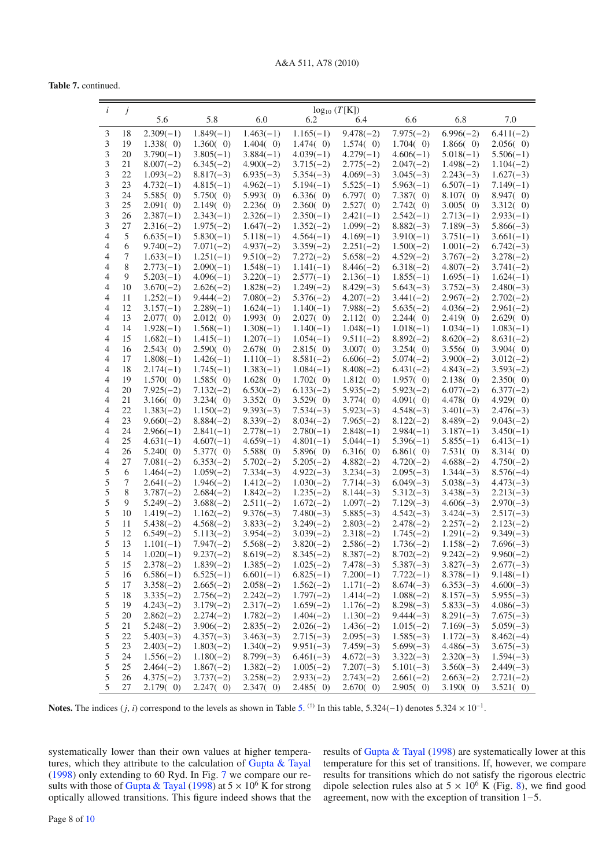**Table 7.** continued.

| $\dot{i}$     | $\dot{J}$ | 5.6                        | 5.8                        | 6.0                        | 6.2                        | $log_{10} (T[K])$<br>6.4   | 6.6                        | 6.8                        | 7.0                        |
|---------------|-----------|----------------------------|----------------------------|----------------------------|----------------------------|----------------------------|----------------------------|----------------------------|----------------------------|
|               |           |                            |                            |                            |                            |                            |                            |                            |                            |
| 3             | 18        | $2.309(-1)$                | $1.849(-1)$                | $1.463(-1)$                | $1.165(-1)$                | $9.478(-2)$                | $7.975(-2)$                | $6.996(-2)$                | $6.411(-2)$                |
| 3             | 19        | 1.338(0)                   | 1.360(0)                   | 1.404(0)                   | 1.474(0)                   | 1.574(0)                   | 1.704(0)                   | 1.866(0)                   | $2.056(-0)$                |
| 3             | 20        | $3.790(-1)$                | $3.805(-1)$                | $3.884(-1)$                | $4.039(-1)$                | $4.279(-1)$                | $4.606(-1)$                | $5.018(-1)$                | $5.506(-1)$                |
| 3             | 21        | $8.007(-2)$                | $6.345(-2)$                | $4.900(-2)$                | $3.715(-2)$                | $2.775(-2)$                | $2.047(-2)$                | $1.498(-2)$                | $1.104(-2)$                |
| 3<br>3        | 22<br>23  | $1.093(-2)$<br>$4.732(-1)$ | $8.817(-3)$<br>$4.815(-1)$ | $6.935(-3)$<br>$4.962(-1)$ | $5.354(-3)$<br>$5.194(-1)$ | $4.069(-3)$<br>$5.525(-1)$ | $3.045(-3)$<br>$5.963(-1)$ | $2.243(-3)$<br>$6.507(-1)$ | $1.627(-3)$<br>$7.149(-1)$ |
| 3             | 24        | 5.585(0)                   | $5.750(-0)$                | 5.993(0)                   | 6.336(0)                   | 6.797(0)                   | 7.387(0)                   | 8.107(0)                   | 8.947(0)                   |
| 3             | 25        | 2.091(0)                   | 2.149(0)                   | 2.236(0)                   | 2.360(0)                   | 2.527(0)                   | 2.742( 0)                  | 3.005(0)                   | 3.312(0)                   |
| 3             | 26        | $2.387(-1)$                | $2.343(-1)$                | $2.326(-1)$                | $2.350(-1)$                | $2.421(-1)$                | $2.542(-1)$                | $2.713(-1)$                | $2.933(-1)$                |
| 3             | 27        | $2.316(-2)$                | $1.975(-2)$                | $1.647(-2)$                | $1.352(-2)$                | $1.099(-2)$                | $8.882(-3)$                | $7.189(-3)$                | $5.866(-3)$                |
| 4             | 5         | $6.635(-1)$                | $5.830(-1)$                | $5.118(-1)$                | $4.564(-1)$                | $4.169(-1)$                | $3.910(-1)$                | $3.751(-1)$                | $3.661(-1)$                |
| 4             | 6         | $9.740(-2)$                | $7.071(-2)$                | $4.937(-2)$                | $3.359(-2)$                | $2.251(-2)$                | $1.500(-2)$                | $1.001(-2)$                | $6.742(-3)$                |
| 4             | 7         | $1.633(-1)$                | $1.251(-1)$                | $9.510(-2)$                | $7.272(-2)$                | $5.658(-2)$                | $4.529(-2)$                | $3.767(-2)$                | $3.278(-2)$                |
| 4             | 8         | $2.773(-1)$                | $2.090(-1)$                | $1.548(-1)$                | $1.141(-1)$                | $8.446(-2)$                | $6.318(-2)$                | $4.807(-2)$                | $3.741(-2)$                |
| 4             | 9         | $5.203(-1)$                | $4.096(-1)$                | $3.220(-1)$                | $2.577(-1)$                | $2.136(-1)$                | $1.855(-1)$                | $1.695(-1)$                | $1.624(-1)$                |
| 4             | 10        | $3.670(-2)$                | $2.626(-2)$                | $1.828(-2)$                | $1.249(-2)$                | $8.429(-3)$                | $5.643(-3)$                | $3.752(-3)$                | $2.480(-3)$                |
| 4             | 11        | $1.252(-1)$                | $9.444(-2)$                | $7.080(-2)$                | $5.376(-2)$                | $4.207(-2)$                | $3.441(-2)$                | $2.967(-2)$                | $2.702(-2)$                |
| 4             | 12        | $3.157(-1)$                | $2.289(-1)$                | $1.624(-1)$                | $1.140(-1)$                | $7.988(-2)$                | $5.635(-2)$                | $4.036(-2)$                | $2.961(-2)$                |
| 4             | 13        | $2.077(-0)$                | $2.012(-0)$                | 1.993(0)                   | 2.027(0)                   | 2.112(0)                   | 2.244(0)                   | 2.419(0)                   | 2.629(0)                   |
| 4             | 14        | $1.928(-1)$                | $1.568(-1)$                | $1.308(-1)$                | $1.140(-1)$                | $1.048(-1)$                | $1.018(-1)$                | $1.034(-1)$                | $1.083(-1)$                |
| 4             | 15        | $1.682(-1)$                | $1.415(-1)$                | $1.207(-1)$                | $1.054(-1)$                | $9.511(-2)$                | $8.892(-2)$                | $8.620(-2)$                | $8.631(-2)$                |
| 4             | 16        | 2.543(0)                   | 2.590(0)                   | 2.678()                    | 2.815(0)                   | 3.007(0)                   | 3.254(0)                   | 3.556(0)                   | 3.904(0)                   |
| 4             | 17        | $1.808(-1)$                | $1.426(-1)$                | $1.110(-1)$                | $8.581(-2)$                | $6.606(-2)$                | $5.074(-2)$                | $3.900(-2)$                | $3.012(-2)$                |
| 4             | 18        | $2.174(-1)$                | $1.745(-1)$                | $1.383(-1)$                | $1.084(-1)$                | $8.408(-2)$                | $6.431(-2)$                | $4.843(-2)$                | $3.593(-2)$                |
| 4             | 19        | $1.570(-0)$                | 1.585(0)                   | 1.628(0)                   | 1.702()                    | 1.812(0)                   | $1.957(-0)$                | 2.138(0)                   | $2.350(-0)$                |
| 4             | 20        | $7.925(-2)$                | $7.132(-2)$                | $6.530(-2)$                | $6.133(-2)$                | $5.935(-2)$                | $5.923(-2)$                | $6.077(-2)$                | $6.377(-2)$                |
| 4             | 21        | 3.166(0)                   | 3.234(0)                   | 3.352(0)                   | 3.529(0)                   | 3.774()                    | 4.091(0)                   | 4.478(0)                   | 4.929(0)                   |
| 4<br>4        | 22<br>23  | $1.383(-2)$<br>$9.660(-2)$ | $1.150(-2)$<br>$8.884(-2)$ | $9.393(-3)$<br>$8.339(-2)$ | $7.534(-3)$<br>$8.034(-2)$ | $5.923(-3)$<br>$7.965(-2)$ | $4.548(-3)$<br>$8.122(-2)$ | $3.401(-3)$<br>$8.489(-2)$ | $2.476(-3)$<br>$9.043(-2)$ |
| 4             | 24        | $2.966(-1)$                | $2.841(-1)$                | $2.778(-1)$                | $2.780(-1)$                | $2.848(-1)$                | $2.984(-1)$                | $3.187(-1)$                | $3.450(-1)$                |
| 4             | 25        | $4.631(-1)$                | $4.607(-1)$                | $4.659(-1)$                | $4.801(-1)$                | $5.044(-1)$                | $5.396(-1)$                | $5.855(-1)$                | $6.413(-1)$                |
| 4             | 26        | 5.240(0)                   | 5.377(0)                   | 5.588(0)                   | 5.896(0)                   | 6.316(0)                   | 6.861(0)                   | 7.531(0)                   | 8.314(0)                   |
| 4             | 27        | $7.081(-2)$                | $6.353(-2)$                | $5.702(-2)$                | $5.205(-2)$                | $4.882(-2)$                | $4.720(-2)$                | $4.688(-2)$                | $4.750(-2)$                |
| 5             | 6         | $1.464(-2)$                | $1.059(-2)$                | $7.334(-3)$                | $4.922(-3)$                | $3.234(-3)$                | $2.095(-3)$                | $1.344(-3)$                | $8.576(-4)$                |
| 5             | 7         | $2.641(-2)$                | $1.946(-2)$                | $1.412(-2)$                | $1.030(-2)$                | $7.714(-3)$                | $6.049(-3)$                | $5.038(-3)$                | $4.473(-3)$                |
| 5             | 8         | $3.787(-2)$                | $2.684(-2)$                | $1.842(-2)$                | $1.235(-2)$                | $8.144(-3)$                | $5.312(-3)$                | $3.438(-3)$                | $2.213(-3)$                |
| 5             | 9         | $5.249(-2)$                | $3.688(-2)$                | $2.511(-2)$                | $1.672(-2)$                | $1.097(-2)$                | $7.129(-3)$                | $4.606(-3)$                | $2.970(-3)$                |
| 5             | 10        | $1.419(-2)$                | $1.162(-2)$                | $9.376(-3)$                | $7.480(-3)$                | $5.885(-3)$                | $4.542(-3)$                | $3.424(-3)$                | $2.517(-3)$                |
| 5             | 11        | $5.438(-2)$                | $4.568(-2)$                | $3.833(-2)$                | $3.249(-2)$                | $2.803(-2)$                | $2.478(-2)$                | $2.257(-2)$                | $2.123(-2)$                |
| 5             | 12        | $6.549(-2)$                | $5.113(-2)$                | $3.954(-2)$                | $3.039(-2)$                | $2.318(-2)$                | $1.745(-2)$                | $1.291(-2)$                | $9.349(-3)$                |
| 5             | 13        | $1.101(-1)$                | $7.947(-2)$                | $5.568(-2)$                | $3.820(-2)$                | $2.586(-2)$                | $1.736(-2)$                | $1.158(-2)$                | $7.696(-3)$                |
| 5             | 14        | $1.020(-1)$                | $9.237(-2)$                | $8.619(-2)$                | $8.345(-2)$                | $8.387(-2)$                | $8.702(-2)$                | $9.242(-2)$                | $9.960(-2)$                |
| 5             | 15        | $2.378(-2)$                | $1.839(-2)$                | $1.385(-2)$                | $1.025(-2)$                | $7.478(-3)$                | $5.387(-3)$                | $3.827(-3)$                | $2.677(-3)$                |
| 5             | 16        | $6.586(-1)$                | $6.525(-1)$                | $6.601(-1)$                | $6.825(-1)$                | $7.200(-1)$                | $7.722(-1)$                | $8.378(-1)$                | $9.148(-1)$                |
| 5             | 17        | $3.358(-2)$                | $2.665(-2)$                | $2.058(-2)$                | $1.562(-2)$                | $1.171(-2)$                | $8.674(-3)$                | $6.353(-3)$                | $4.600(-3)$                |
| 5             | 18        | $3.335(-2)$                | $2.756(-2)$                | $2.242(-2)$                | $1.797(-2)$                | $1.414(-2)$                | $1.088(-2)$                | $8.157(-3)$                | $5.955(-3)$                |
| 5             | 19        | $4.243(-2)$                | $3.179(-2)$                | $2.317(-2)$                | $1.659(-2)$                | $1.176(-2)$                | $8.298(-3)$                | $5.833(-3)$                | $4.086(-3)$                |
| 5             | 20        | $2.862(-2)$                | $2.274(-2)$                | $1.782(-2)$                | $1.404(-2)$                | $1.130(-2)$                | $9.444(-3)$                | $8.291(-3)$                | $7.675(-3)$                |
| 5             | 21        | $5.248(-2)$                | $3.906(-2)$                | $2.835(-2)$                | $2.026(-2)$                | $1.436(-2)$                | $1.015(-2)$                | $7.169(-3)$                | $5.059(-3)$                |
| 5             | 22        | $5.403(-3)$                | $4.357(-3)$                | $3.463(-3)$                | $2.715(-3)$                | $2.095(-3)$                | $1.585(-3)$                | $1.172(-3)$                | $8.462(-4)$                |
| 5             | 23        | $2.403(-2)$<br>$1.556(-2)$ | $1.803(-2)$                | $1.340(-2)$<br>$8.799(-3)$ | $9.951(-3)$                | $7.459(-3)$<br>$4.672(-3)$ | $5.699(-3)$<br>$3.322(-3)$ | $4.486(-3)$<br>$2.320(-3)$ | $3.675(-3)$<br>$1.594(-3)$ |
| 5<br>5        | 24<br>25  | $2.464(-2)$                | $1.180(-2)$<br>$1.867(-2)$ | $1.382(-2)$                | $6.461(-3)$<br>$1.005(-2)$ | $7.207(-3)$                | $5.101(-3)$                | $3.560(-3)$                | $2.449(-3)$                |
| $\mathfrak s$ | 26        | $4.375(-2)$                | $3.737(-2)$                | $3.258(-2)$                | $2.933(-2)$                | $2.743(-2)$                | $2.661(-2)$                | $2.663(-2)$                | $2.721(-2)$                |
| 5             | 27        | 2.179(0)                   | 2.247(0)                   | 2.347(0)                   | 2.485(0)                   | $2.670(-0)$                | 2.905(0)                   | 3.190(0)                   | 3.521(0)                   |

**Notes.** The indices  $(j, i)$  correspond to the levels as shown in Table 5. <sup>(†)</sup> In this table, 5.324(−1) denotes 5.324 × 10<sup>-1</sup>.

systematically lower than their own values at higher temperatures, which they attribute to the calculation of Gupta & Tayal (1998) only extending to 60 Ryd. In Fig. 7 we compare our results with those of Gupta & Tayal (1998) at  $5 \times 10^6$  K for strong optically allowed transitions. This figure indeed shows that the results of Gupta & Tayal (1998) are systematically lower at this temperature for this set of transitions. If, however, we compare results for transitions which do not satisfy the rigorous electric dipole selection rules also at  $5 \times 10^6$  K (Fig. 8), we find good agreement, now with the exception of transition 1−5.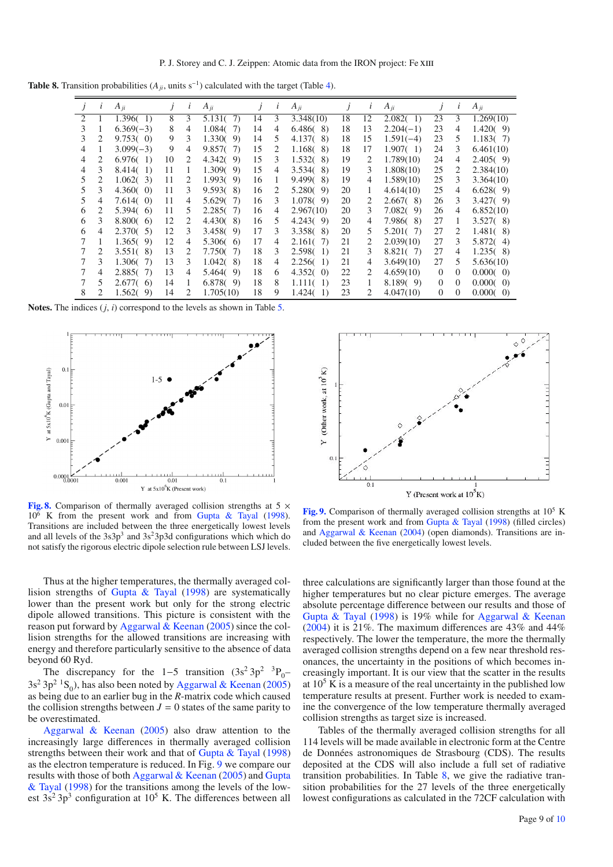|  | P. J. Storey and C. J. Zeippen: Atomic data from the IRON project: Fe XIII |  |  |  |
|--|----------------------------------------------------------------------------|--|--|--|
|  |                                                                            |  |  |  |

**Table 8.** Transition probabilities  $(A_{ii}, \text{units } s^{-1})$  calculated with the target (Table 4).

|               |                               | $A_{ji}$    | Ĵ  | $\iota$ | $A_{ii}$    |    | $\iota$ | $A_{ji}$  |    | l  | $A_{ii}$    |                | $\iota$  | $A_{ii}$    |
|---------------|-------------------------------|-------------|----|---------|-------------|----|---------|-----------|----|----|-------------|----------------|----------|-------------|
| $\mathcal{L}$ |                               | 1.396(1)    | 8  | 3       | 5.131(7)    | 14 | 3       | 3.348(10) | 18 | 12 | 2.082(1)    | 23             | 3        | 1.269(10)   |
| 3             |                               | $6.369(-3)$ | 8  | 4       | 1.084(7)    | 14 | 4       | 6.486(8)  | 18 | 13 | $2.204(-1)$ | 23             | 4        | 1.420(9)    |
| 3             | 2                             | 9.753(0)    | 9  | 3       | $1.330(-9)$ | 14 | 5.      | 4.137(8)  | 18 | 15 | $1.591(-4)$ | 23             | 5.       | 1.183(7)    |
| 4             | 1                             | $3.099(-3)$ | 9  | 4       | 9.857(7)    | 15 | 2       | 1.168(8)  | 18 | 17 | 1.907(1)    | 24             | 3        | 6.461(10)   |
| 4             | 2                             | 6.976(1)    | 10 | 2       | 4.342(9)    | 15 | 3       | 1.532(8)  | 19 | 2  | 1.789(10)   | 24             | 4        | 2.405(9)    |
| 4             | 3                             | 8.414(1)    | 11 |         | 1.309(9)    | 15 | 4       | 3.534(8)  | 19 | 3  | 1.808(10)   | 25             | 2        | 2.384(10)   |
| 5             | 2                             | 1.062(3)    | 11 | 2       | 1.993(9)    | 16 | 1       | 9.499(8)  | 19 | 4  | 1.589(10)   | 25             | 3        | 3.364(10)   |
| 5.            | 3                             | 4.360(0)    | 11 | 3       | 9.593(8)    | 16 | 2       | 5.280(9)  | 20 |    | 4.614(10)   | 25             | 4        | 6.628(9)    |
| 5             | 4                             | 7.614(0)    | 11 | 4       | 5.629(7)    | 16 | 3       | 1.078(9)  | 20 | 2  | 2.667(8)    | 26             | 3        | 3.427(9)    |
| 6             | $\mathfrak{D}_{\mathfrak{p}}$ | 5.394(6)    | 11 | 5       | 2.285(7)    | 16 | 4       | 2.967(10) | 20 | 3  | 7.082()9)   | 26             | 4        | 6.852(10)   |
| 6             | 3                             | $8.800(-6)$ | 12 | 2       | 4.430(8)    | 16 | 5       | 4.243(9)  | 20 | 4  | 7.986(8)    | 27             |          | 3.527(8)    |
| 6             | 4                             | $2.370(-5)$ | 12 | 3       | 3.458(9)    | 17 | 3       | 3.358(8)  | 20 | 5  | 5.201(7)    | 27             | 2        | 1.481(8)    |
| 7             |                               | 1.365(9)    | 12 | 4       | $5.306(-6)$ | 17 | 4       | 2.161(7)  | 21 | 2  | 2.039(10)   | 27             | 3        | 5.872(4)    |
| 7             | 2                             | 3.551(8)    | 13 | 2       | $7.750(-7)$ | 18 | 3       | 2.598(1)  | 21 | 3  | 8.821(7)    | 27             | 4        | 1.235(8)    |
| 7             | 3                             | 1.306(7)    | 13 | 3       | 1.042(8)    | 18 | 4       | 2.256(1)  | 21 | 4  | 3.649(10)   | 27             | 5        | 5.636(10)   |
| 7             | 4                             | 2.885(7)    | 13 | 4       | 5.464(9)    | 18 | 6       | 4.352(0)  | 22 | 2  | 4.659(10)   | $\overline{0}$ | $\Omega$ | $0.000(-0)$ |
|               | 5.                            | 2.677(6)    | 14 | 1       | 6.878(9)    | 18 | 8       | 1.111(1)  | 23 | 1  | 8.189(9)    | 0              | $\Omega$ | 0.000(0)    |
| 8             |                               | 1.562(9)    | 14 | 2       | 1.705(10)   | 18 | 9       | 1.424(1)  | 23 | 2  | 4.047(10)   | $\overline{0}$ | $\Omega$ | 0.000(0)    |

**Notes.** The indices (*j*, *i*) correspond to the levels as shown in Table 5.



**[Fig. 8.](http://dexter.edpsciences.org/applet.php?DOI=10.1051/0004-6361/200912689&pdf_id=8)** Comparison of thermally averaged collision strengths at  $5 \times$  $10^6$  K from the present work and from Gupta & Tayal (1998). Transitions are included between the three energetically lowest levels and all levels of the  $3s^2\pi^3$  and  $3s^2\pi^3$  configurations which which do not satisfy the rigorous electric dipole selection rule between LSJ levels.

Thus at the higher temperatures, the thermally averaged collision strengths of Gupta & Tayal (1998) are systematically lower than the present work but only for the strong electric dipole allowed transitions. This picture is consistent with the reason put forward by Aggarwal & Keenan (2005) since the collision strengths for the allowed transitions are increasing with energy and therefore particularly sensitive to the absence of data beyond 60 Ryd.

The discrepancy for the 1−5 transition  $(3s^2 3p^2 3p_0 3s^2 3p^2 1S_0$ , has also been noted by Aggarwal & Keenan (2005) as being due to an earlier bug in the *R*-matrix code which caused the collision strengths between  $J = 0$  states of the same parity to be overestimated.

Aggarwal & Keenan (2005) also draw attention to the increasingly large differences in thermally averaged collision strengths between their work and that of Gupta & Tayal (1998) as the electron temperature is reduced. In Fig. 9 we compare our results with those of both Aggarwal  $\&$  Keenan (2005) and Gupta & Tayal (1998) for the transitions among the levels of the lowest  $3s^2 3p^3$  configuration at  $10^5$  K. The differences between all



**[Fig. 9.](http://dexter.edpsciences.org/applet.php?DOI=10.1051/0004-6361/200912689&pdf_id=9)** Comparison of thermally averaged collision strengths at  $10^5$  K from the present work and from Gupta & Tayal (1998) (filled circles) and Aggarwal & Keenan (2004) (open diamonds). Transitions are included between the five energetically lowest levels.

three calculations are significantly larger than those found at the higher temperatures but no clear picture emerges. The average absolute percentage difference between our results and those of Gupta & Tayal (1998) is 19% while for Aggarwal & Keenan  $(2004)$  it is 21%. The maximum differences are 43% and 44% respectively. The lower the temperature, the more the thermally averaged collision strengths depend on a few near threshold resonances, the uncertainty in the positions of which becomes increasingly important. It is our view that the scatter in the results at  $10<sup>5</sup>$  K is a measure of the real uncertainty in the published low temperature results at present. Further work is needed to examine the convergence of the low temperature thermally averaged collision strengths as target size is increased.

Tables of the thermally averaged collision strengths for all 114 levels will be made available in electronic form at the Centre de Données astronomiques de Strasbourg (CDS). The results deposited at the CDS will also include a full set of radiative transition probabilities. In Table 8, we give the radiative transition probabilities for the 27 levels of the three energetically lowest configurations as calculated in the 72CF calculation with